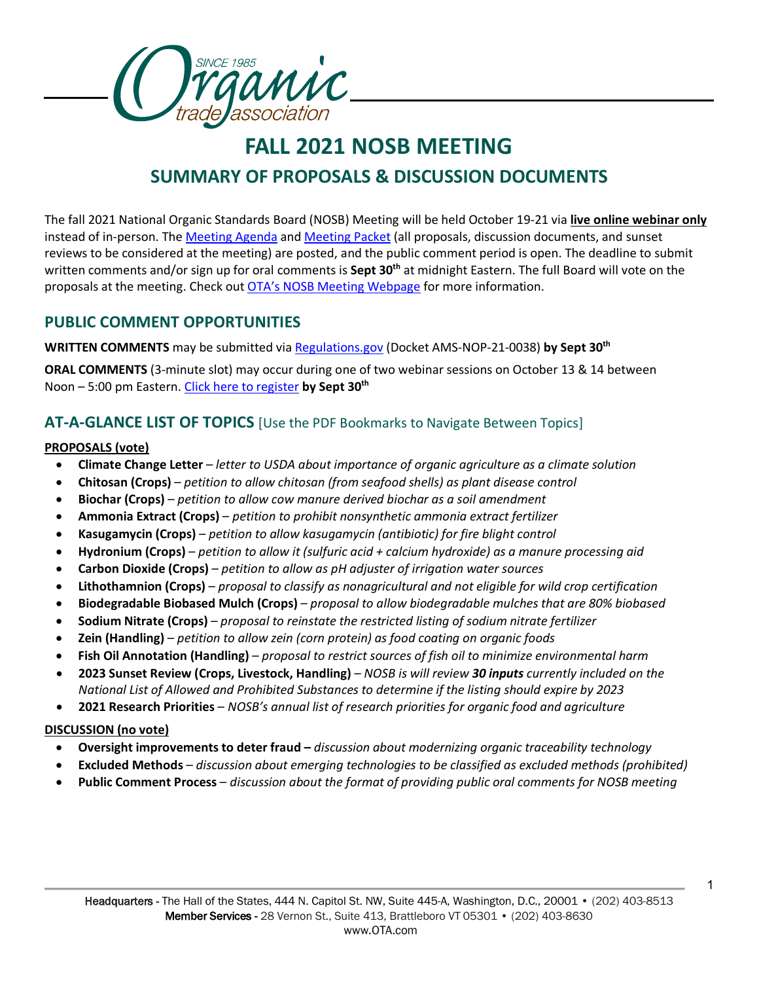

# **FALL 2021 NOSB MEETING SUMMARY OF PROPOSALS & DISCUSSION DOCUMENTS**

The fall 2021 National Organic Standards Board (NOSB) Meeting will be held October 19-21 via **live online webinar only** instead of in-person. The [Meeting Agenda](https://www.ams.usda.gov/sites/default/files/media/Agenda2021OctNOSBVirtualEXTERNAL.pdf) an[d Meeting Packet](https://www.ams.usda.gov/sites/default/files/media/NOSBProposals%26DDsOctober2021acc.pdf) (all proposals, discussion documents, and sunset reviews to be considered at the meeting) are posted, and the public comment period is open. The deadline to submit written comments and/or sign up for oral comments is **Sept 30<sup>th</sup> at midnight Eastern. The full Board will vote on the** proposals at the meeting. Check out [OTA's NOSB Meeting Webpage](https://ota.com/advocacy/organic-standards/national-organic-standards-board/nosb-fall-2021-meeting) for more information.

## **PUBLIC COMMENT OPPORTUNITIES**

**WRITTEN COMMENTS** may be submitted via [Regulations.gov](https://www.regulations.gov/document/AMS-NOP-21-0038-0001) (Docket AMS-NOP-21-0038) **by Sept 30th**

**ORAL COMMENTS** (3-minute slot) may occur during one of two webinar sessions on October 13 & 14 between Noon – 5:00 pm Eastern. [Click here to register](https://www.ams.usda.gov/event/national-organic-standards-board-nosb-meeting-sacramento-ca) **by Sept 30th**

## **AT-A-GLANCE LIST OF TOPICS** [Use the PDF Bookmarks to Navigate Between Topics]

## **PROPOSALS (vote)**

- **Climate Change Letter** *– letter to USDA about importance of organic agriculture as a climate solution*
- **Chitosan (Crops)** *petition to allow chitosan (from seafood shells) as plant disease control*
- **Biochar (Crops)** *petition to allow cow manure derived biochar as a soil amendment*
- **Ammonia Extract (Crops)**  *petition to prohibit nonsynthetic ammonia extract fertilizer*
- **Kasugamycin (Crops)** *petition to allow kasugamycin (antibiotic) for fire blight control*
- **Hydronium (Crops)** *petition to allow it (sulfuric acid + calcium hydroxide) as a manure processing aid*
- **Carbon Dioxide (Crops)** *petition to allow as pH adjuster of irrigation water sources*
- **Lithothamnion (Crops)** *proposal to classify as nonagricultural and not eligible for wild crop certification*
- **Biodegradable Biobased Mulch (Crops)** *– proposal to allow biodegradable mulches that are 80% biobased*
- **Sodium Nitrate (Crops)** *proposal to reinstate the restricted listing of sodium nitrate fertilizer*
- **Zein (Handling)** *petition to allow zein (corn protein) as food coating on organic foods*
- **Fish Oil Annotation (Handling)**  *proposal to restrict sources of fish oil to minimize environmental harm*
- **2023 Sunset Review (Crops, Livestock, Handling)** *– NOSB is will review 30 inputs currently included on the National List of Allowed and Prohibited Substances to determine if the listing should expire by 2023*
- **2021 Research Priorities**  *NOSB's annual list of research priorities for organic food and agriculture*

## **DISCUSSION (no vote)**

- **Oversight improvements to deter fraud –** *discussion about modernizing organic traceability technology*
- **Excluded Methods** *discussion about emerging technologies to be classified as excluded methods (prohibited)*
- **Public Comment Process** *discussion about the format of providing public oral comments for NOSB meeting*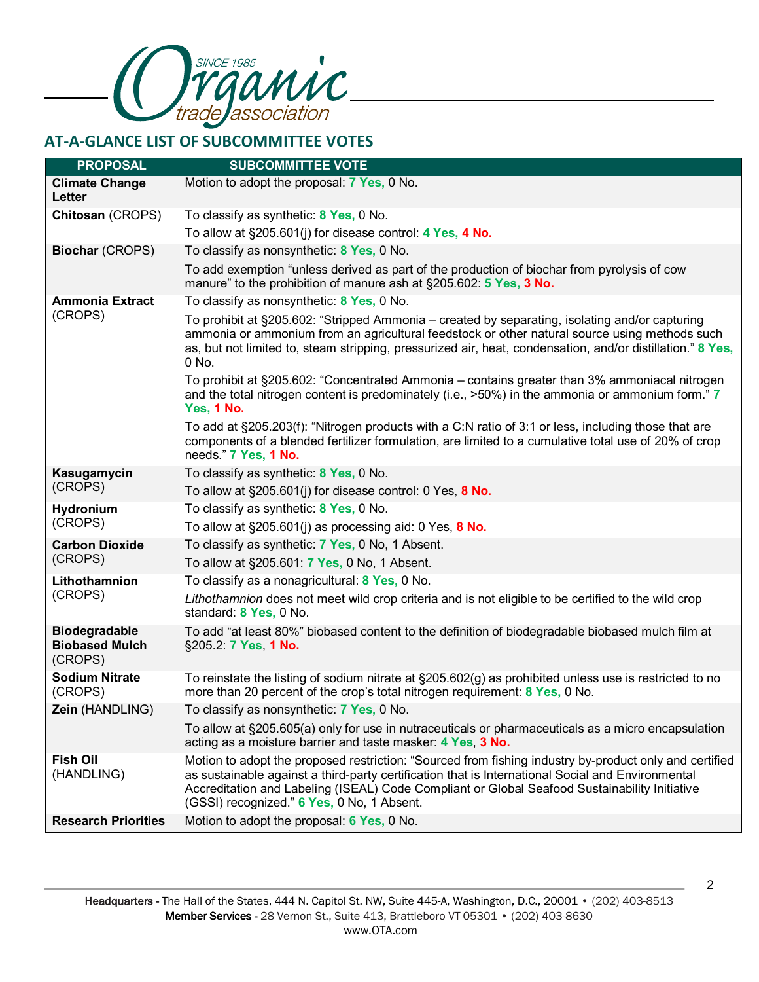

## **AT-A-GLANCE LIST OF SUBCOMMITTEE VOTES**

| <b>PROPOSAL</b>                                          | <b>SUBCOMMITTEE VOTE</b>                                                                                                                                                                                                                                                                                                                                   |
|----------------------------------------------------------|------------------------------------------------------------------------------------------------------------------------------------------------------------------------------------------------------------------------------------------------------------------------------------------------------------------------------------------------------------|
| <b>Climate Change</b><br>Letter                          | Motion to adopt the proposal: 7 Yes, 0 No.                                                                                                                                                                                                                                                                                                                 |
| Chitosan (CROPS)                                         | To classify as synthetic: 8 Yes, 0 No.                                                                                                                                                                                                                                                                                                                     |
|                                                          | To allow at §205.601(j) for disease control: 4 Yes, 4 No.                                                                                                                                                                                                                                                                                                  |
| <b>Biochar (CROPS)</b>                                   | To classify as nonsynthetic: 8 Yes, 0 No.                                                                                                                                                                                                                                                                                                                  |
|                                                          | To add exemption "unless derived as part of the production of biochar from pyrolysis of cow<br>manure" to the prohibition of manure ash at §205.602: 5 Yes, 3 No.                                                                                                                                                                                          |
| <b>Ammonia Extract</b><br>(CROPS)                        | To classify as nonsynthetic: 8 Yes, 0 No.                                                                                                                                                                                                                                                                                                                  |
|                                                          | To prohibit at §205.602: "Stripped Ammonia – created by separating, isolating and/or capturing<br>ammonia or ammonium from an agricultural feedstock or other natural source using methods such<br>as, but not limited to, steam stripping, pressurized air, heat, condensation, and/or distillation." 8 Yes,<br>0 No.                                     |
|                                                          | To prohibit at §205.602: "Concentrated Ammonia - contains greater than 3% ammoniacal nitrogen<br>and the total nitrogen content is predominately (i.e., >50%) in the ammonia or ammonium form." 7<br>Yes, 1 No.                                                                                                                                            |
|                                                          | To add at §205.203(f): "Nitrogen products with a C:N ratio of 3:1 or less, including those that are<br>components of a blended fertilizer formulation, are limited to a cumulative total use of 20% of crop<br>needs." 7 Yes, 1 No.                                                                                                                        |
| Kasugamycin                                              | To classify as synthetic: 8 Yes, 0 No.                                                                                                                                                                                                                                                                                                                     |
| (CROPS)                                                  | To allow at $\S205.601(j)$ for disease control: 0 Yes, 8 No.                                                                                                                                                                                                                                                                                               |
| Hydronium                                                | To classify as synthetic: 8 Yes, 0 No.                                                                                                                                                                                                                                                                                                                     |
| (CROPS)                                                  | To allow at $\S205.601(j)$ as processing aid: 0 Yes, 8 No.                                                                                                                                                                                                                                                                                                 |
| <b>Carbon Dioxide</b>                                    | To classify as synthetic: 7 Yes, 0 No, 1 Absent.                                                                                                                                                                                                                                                                                                           |
| (CROPS)                                                  | To allow at §205.601: 7 Yes, 0 No, 1 Absent.                                                                                                                                                                                                                                                                                                               |
| Lithothamnion<br>(CROPS)                                 | To classify as a nonagricultural: 8 Yes, 0 No.                                                                                                                                                                                                                                                                                                             |
|                                                          | Lithothamnion does not meet wild crop criteria and is not eligible to be certified to the wild crop<br>standard: 8 Yes, 0 No.                                                                                                                                                                                                                              |
| <b>Biodegradable</b><br><b>Biobased Mulch</b><br>(CROPS) | To add "at least 80%" biobased content to the definition of biodegradable biobased mulch film at<br>§205.2: 7 Yes, 1 No.                                                                                                                                                                                                                                   |
| <b>Sodium Nitrate</b><br>(CROPS)                         | To reinstate the listing of sodium nitrate at $\S 205.602(g)$ as prohibited unless use is restricted to no<br>more than 20 percent of the crop's total nitrogen requirement: 8 Yes, 0 No.                                                                                                                                                                  |
| Zein (HANDLING)                                          | To classify as nonsynthetic: 7 Yes, 0 No.                                                                                                                                                                                                                                                                                                                  |
|                                                          | To allow at §205.605(a) only for use in nutraceuticals or pharmaceuticals as a micro encapsulation<br>acting as a moisture barrier and taste masker: 4 Yes, 3 No.                                                                                                                                                                                          |
| <b>Fish Oil</b><br>(HANDLING)                            | Motion to adopt the proposed restriction: "Sourced from fishing industry by-product only and certified<br>as sustainable against a third-party certification that is International Social and Environmental<br>Accreditation and Labeling (ISEAL) Code Compliant or Global Seafood Sustainability Initiative<br>(GSSI) recognized." 6 Yes, 0 No, 1 Absent. |
| <b>Research Priorities</b>                               | Motion to adopt the proposal: 6 Yes, 0 No.                                                                                                                                                                                                                                                                                                                 |

2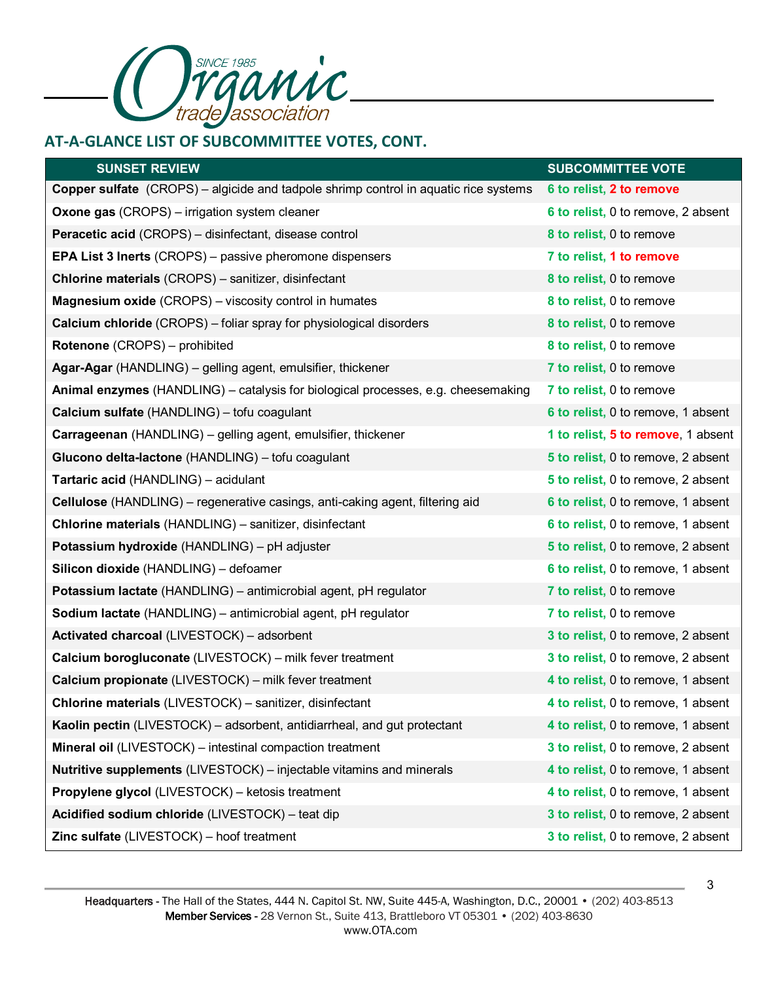

## **AT-A-GLANCE LIST OF SUBCOMMITTEE VOTES, CONT.**

| <b>SUNSET REVIEW</b>                                                                        | <b>SUBCOMMITTEE VOTE</b>           |
|---------------------------------------------------------------------------------------------|------------------------------------|
| <b>Copper sulfate</b> (CROPS) – algicide and tadpole shrimp control in aquatic rice systems | 6 to relist, 2 to remove           |
| <b>Oxone gas</b> (CROPS) – irrigation system cleaner                                        | 6 to relist, 0 to remove, 2 absent |
| <b>Peracetic acid</b> (CROPS) – disinfectant, disease control                               | 8 to relist, 0 to remove           |
| <b>EPA List 3 Inerts</b> (CROPS) – passive pheromone dispensers                             | 7 to relist, 1 to remove           |
| <b>Chlorine materials (CROPS)</b> – sanitizer, disinfectant                                 | 8 to relist, 0 to remove           |
| <b>Magnesium oxide</b> (CROPS) – viscosity control in humates                               | 8 to relist, 0 to remove           |
| <b>Calcium chloride</b> (CROPS) – foliar spray for physiological disorders                  | 8 to relist, 0 to remove           |
| Rotenone (CROPS) - prohibited                                                               | 8 to relist, 0 to remove           |
| Agar-Agar (HANDLING) – gelling agent, emulsifier, thickener                                 | 7 to relist, 0 to remove           |
| Animal enzymes (HANDLING) – catalysis for biological processes, e.g. cheesemaking           | 7 to relist, 0 to remove           |
| Calcium sulfate (HANDLING) - tofu coagulant                                                 | 6 to relist, 0 to remove, 1 absent |
| <b>Carrageenan</b> (HANDLING) – gelling agent, emulsifier, thickener                        | 1 to relist, 5 to remove, 1 absent |
| Glucono delta-lactone (HANDLING) - tofu coagulant                                           | 5 to relist, 0 to remove, 2 absent |
| <b>Tartaric acid (HANDLING) - acidulant</b>                                                 | 5 to relist, 0 to remove, 2 absent |
| Cellulose (HANDLING) - regenerative casings, anti-caking agent, filtering aid               | 6 to relist, 0 to remove, 1 absent |
| <b>Chlorine materials (HANDLING) - sanitizer, disinfectant</b>                              | 6 to relist, 0 to remove, 1 absent |
| Potassium hydroxide (HANDLING) - pH adjuster                                                | 5 to relist, 0 to remove, 2 absent |
| Silicon dioxide (HANDLING) - defoamer                                                       | 6 to relist, 0 to remove, 1 absent |
| Potassium lactate (HANDLING) - antimicrobial agent, pH regulator                            | 7 to relist, 0 to remove           |
| Sodium lactate (HANDLING) - antimicrobial agent, pH regulator                               | 7 to relist, 0 to remove           |
| Activated charcoal (LIVESTOCK) - adsorbent                                                  | 3 to relist, 0 to remove, 2 absent |
| Calcium borogluconate (LIVESTOCK) - milk fever treatment                                    | 3 to relist, 0 to remove, 2 absent |
| Calcium propionate (LIVESTOCK) - milk fever treatment                                       | 4 to relist, 0 to remove, 1 absent |
| Chlorine materials (LIVESTOCK) - sanitizer, disinfectant                                    | 4 to relist, 0 to remove, 1 absent |
| Kaolin pectin (LIVESTOCK) – adsorbent, antidiarrheal, and gut protectant                    | 4 to relist, 0 to remove, 1 absent |
| Mineral oil (LIVESTOCK) - intestinal compaction treatment                                   | 3 to relist, 0 to remove, 2 absent |
| <b>Nutritive supplements</b> (LIVESTOCK) – injectable vitamins and minerals                 | 4 to relist, 0 to remove, 1 absent |
| Propylene glycol (LIVESTOCK) - ketosis treatment                                            | 4 to relist, 0 to remove, 1 absent |
| Acidified sodium chloride (LIVESTOCK) - teat dip                                            | 3 to relist, 0 to remove, 2 absent |
| Zinc sulfate (LIVESTOCK) - hoof treatment                                                   | 3 to relist, 0 to remove, 2 absent |

3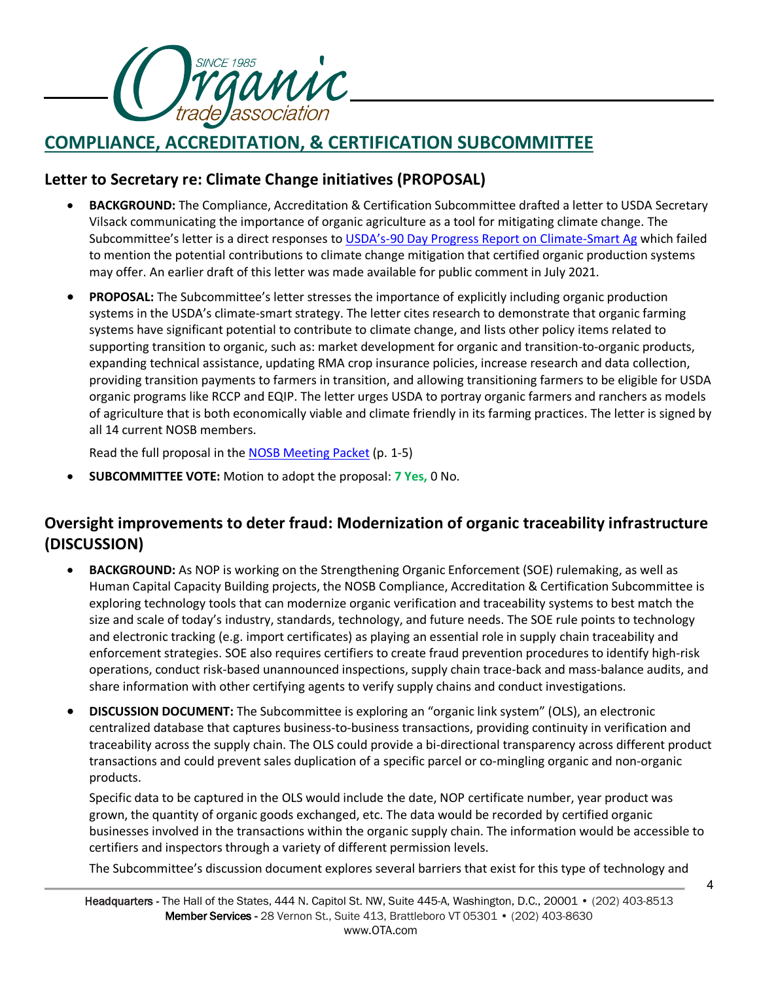

# **COMPLIANCE, ACCREDITATION, & CERTIFICATION SUBCOMMITTEE**

## **Letter to Secretary re: Climate Change initiatives (PROPOSAL)**

- **BACKGROUND:** The Compliance, Accreditation & Certification Subcommittee drafted a letter to USDA Secretary Vilsack communicating the importance of organic agriculture as a tool for mitigating climate change. The Subcommittee's letter is a direct responses to [USDA's-90 Day Progress Report on Climate-Smart Ag](https://www.usda.gov/media/press-releases/2021/05/20/usda-releases-90-day-progress-report-climate-smart-agriculture-and) which failed to mention the potential contributions to climate change mitigation that certified organic production systems may offer. An earlier draft of this letter was made available for public comment in July 2021.
- **PROPOSAL:** The Subcommittee's letter stresses the importance of explicitly including organic production systems in the USDA's climate-smart strategy. The letter cites research to demonstrate that organic farming systems have significant potential to contribute to climate change, and lists other policy items related to supporting transition to organic, such as: market development for organic and transition-to-organic products, expanding technical assistance, updating RMA crop insurance policies, increase research and data collection, providing transition payments to farmers in transition, and allowing transitioning farmers to be eligible for USDA organic programs like RCCP and EQIP. The letter urges USDA to portray organic farmers and ranchers as models of agriculture that is both economically viable and climate friendly in its farming practices. The letter is signed by all 14 current NOSB members.

Read the full proposal in the [NOSB Meeting Packet](https://www.ams.usda.gov/sites/default/files/media/NOSBProposals%26DDsOctober2021acc.pdf) (p. 1-5)

• **SUBCOMMITTEE VOTE:** Motion to adopt the proposal: **7 Yes,** 0 No.

## **Oversight improvements to deter fraud: Modernization of organic traceability infrastructure (DISCUSSION)**

- **BACKGROUND:** As NOP is working on the Strengthening Organic Enforcement (SOE) rulemaking, as well as Human Capital Capacity Building projects, the NOSB Compliance, Accreditation & Certification Subcommittee is exploring technology tools that can modernize organic verification and traceability systems to best match the size and scale of today's industry, standards, technology, and future needs. The SOE rule points to technology and electronic tracking (e.g. import certificates) as playing an essential role in supply chain traceability and enforcement strategies. SOE also requires certifiers to create fraud prevention procedures to identify high-risk operations, conduct risk-based unannounced inspections, supply chain trace-back and mass-balance audits, and share information with other certifying agents to verify supply chains and conduct investigations.
- **DISCUSSION DOCUMENT:** The Subcommittee is exploring an "organic link system" (OLS), an electronic centralized database that captures business-to-business transactions, providing continuity in verification and traceability across the supply chain. The OLS could provide a bi-directional transparency across different product transactions and could prevent sales duplication of a specific parcel or co-mingling organic and non-organic products.

Specific data to be captured in the OLS would include the date, NOP certificate number, year product was grown, the quantity of organic goods exchanged, etc. The data would be recorded by certified organic businesses involved in the transactions within the organic supply chain. The information would be accessible to certifiers and inspectors through a variety of different permission levels.

The Subcommittee's discussion document explores several barriers that exist for this type of technology and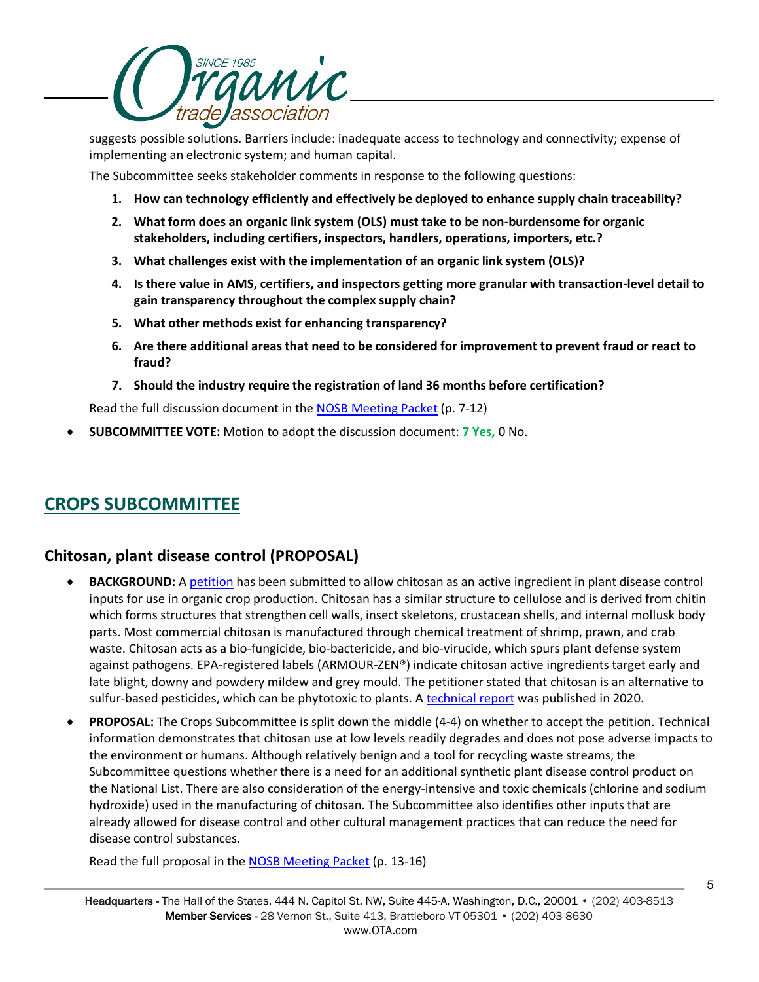

suggests possible solutions. Barriers include: inadequate access to technology and connectivity; expense of implementing an electronic system; and human capital.

The Subcommittee seeks stakeholder comments in response to the following questions:

- **1. How can technology efficiently and effectively be deployed to enhance supply chain traceability?**
- **2. What form does an organic link system (OLS) must take to be non-burdensome for organic stakeholders, including certifiers, inspectors, handlers, operations, importers, etc.?**
- **3. What challenges exist with the implementation of an organic link system (OLS)?**
- **4. Is there value in AMS, certifiers, and inspectors getting more granular with transaction-level detail to gain transparency throughout the complex supply chain?**
- **5. What other methods exist for enhancing transparency?**
- **6. Are there additional areas that need to be considered for improvement to prevent fraud or react to fraud?**
- **7. Should the industry require the registration of land 36 months before certification?**

Read the full discussion document in the **NOSB Meeting Packet** (p. 7-12)

• **SUBCOMMITTEE VOTE:** Motion to adopt the discussion document: **7 Yes,** 0 No.

## **CROPS SUBCOMMITTEE**

## **Chitosan, plant disease control (PROPOSAL)**

- **BACKGROUND:** A [petition](https://www.ams.usda.gov/sites/default/files/media/ChitosanPetition_601disease_101819.pdf) has been submitted to allow chitosan as an active ingredient in plant disease control inputs for use in organic crop production. Chitosan has a similar structure to cellulose and is derived from chitin which forms structures that strengthen cell walls, insect skeletons, crustacean shells, and internal mollusk body parts. Most commercial chitosan is manufactured through chemical treatment of shrimp, prawn, and crab waste. Chitosan acts as a bio-fungicide, bio-bactericide, and bio-virucide, which spurs plant defense system against pathogens. EPA-registered labels (ARMOUR-ZEN®) indicate chitosan active ingredients target early and late blight, downy and powdery mildew and grey mould. The petitioner stated that chitosan is an alternative to sulfur-based pesticides, which can be phytotoxic to plants. A [technical report](https://www.ams.usda.gov/sites/default/files/media/2020ChitosanTechnicalReport.pdf) was published in 2020.
- **PROPOSAL:** The Crops Subcommittee is split down the middle (4-4) on whether to accept the petition. Technical information demonstrates that chitosan use at low levels readily degrades and does not pose adverse impacts to the environment or humans. Although relatively benign and a tool for recycling waste streams, the Subcommittee questions whether there is a need for an additional synthetic plant disease control product on the National List. There are also consideration of the energy-intensive and toxic chemicals (chlorine and sodium hydroxide) used in the manufacturing of chitosan. The Subcommittee also identifies other inputs that are already allowed for disease control and other cultural management practices that can reduce the need for disease control substances.

Read the full proposal in the [NOSB Meeting Packet](https://www.ams.usda.gov/sites/default/files/media/NOSBProposals%26DDsOctober2021acc.pdf) (p. 13-16)

5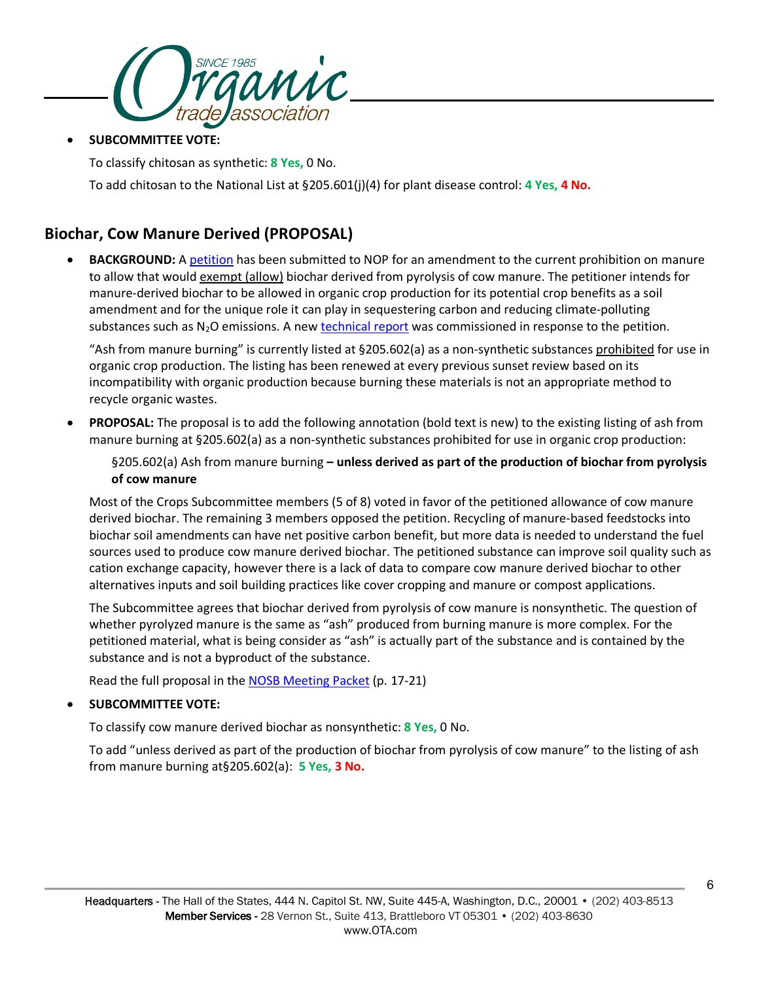

• **SUBCOMMITTEE VOTE:**

To classify chitosan as synthetic: **8 Yes,** 0 No.

To add chitosan to the National List at §205.601(j)(4) for plant disease control: **4 Yes, 4 No.**

## **Biochar, Cow Manure Derived (PROPOSAL)**

**BACKGROUND:** A [petition](https://www.ams.usda.gov/sites/default/files/media/Petition_BiocharfromCowManure_12062019.pdfhttps:/www.ams.usda.gov/sites/default/files/media/Petition_BiocharfromCowManure_12062019.pdf) has been submitted to NOP for an amendment to the current prohibition on manure to allow that would exempt (allow) biochar derived from pyrolysis of cow manure. The petitioner intends for manure-derived biochar to be allowed in organic crop production for its potential crop benefits as a soil amendment and for the unique role it can play in sequestering carbon and reducing climate-polluting substances such as  $N_2O$  emissions. A new [technical report](https://www.ams.usda.gov/sites/default/files/media/NOPBiocharTechnicalReport.pdf) was commissioned in response to the petition.

"Ash from manure burning" is currently listed at §205.602(a) as a non-synthetic substances prohibited for use in organic crop production. The listing has been renewed at every previous sunset review based on its incompatibility with organic production because burning these materials is not an appropriate method to recycle organic wastes.

• **PROPOSAL:** The proposal is to add the following annotation (bold text is new) to the existing listing of ash from manure burning at §205.602(a) as a non-synthetic substances prohibited for use in organic crop production:

§205.602(a) Ash from manure burning **– unless derived as part of the production of biochar from pyrolysis of cow manure**

Most of the Crops Subcommittee members (5 of 8) voted in favor of the petitioned allowance of cow manure derived biochar. The remaining 3 members opposed the petition. Recycling of manure-based feedstocks into biochar soil amendments can have net positive carbon benefit, but more data is needed to understand the fuel sources used to produce cow manure derived biochar. The petitioned substance can improve soil quality such as cation exchange capacity, however there is a lack of data to compare cow manure derived biochar to other alternatives inputs and soil building practices like cover cropping and manure or compost applications.

The Subcommittee agrees that biochar derived from pyrolysis of cow manure is nonsynthetic. The question of whether pyrolyzed manure is the same as "ash" produced from burning manure is more complex. For the petitioned material, what is being consider as "ash" is actually part of the substance and is contained by the substance and is not a byproduct of the substance.

Read the full proposal in the **NOSB Meeting Packet** (p. 17-21)

## • **SUBCOMMITTEE VOTE:**

To classify cow manure derived biochar as nonsynthetic: **8 Yes,** 0 No.

To add "unless derived as part of the production of biochar from pyrolysis of cow manure" to the listing of ash from manure burning at§205.602(a): **5 Yes, 3 No.**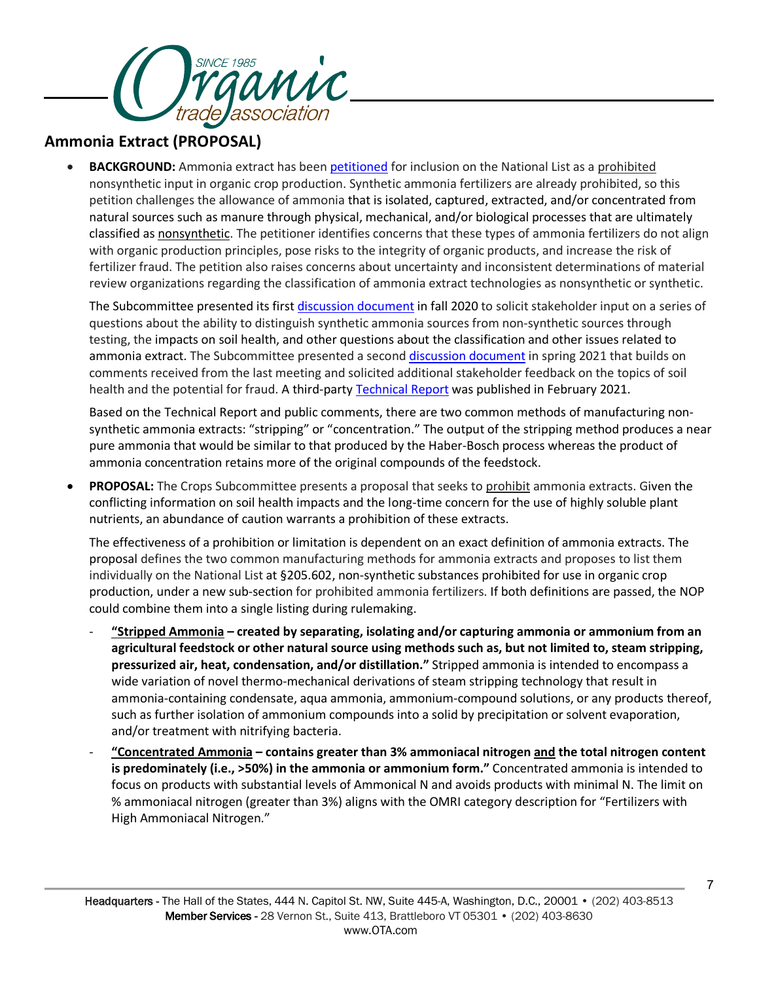

## **Ammonia Extract (PROPOSAL)**

• **BACKGROUND:** Ammonia extract has bee[n petitioned](https://www.ams.usda.gov/sites/default/files/media/Petition_Ammonia_Extract_05222020.pdf) for inclusion on the National List as a prohibited nonsynthetic input in organic crop production. Synthetic ammonia fertilizers are already prohibited, so this petition challenges the allowance of ammonia that is isolated, captured, extracted, and/or concentrated from natural sources such as manure through physical, mechanical, and/or biological processes that are ultimately classified as nonsynthetic. The petitioner identifies concerns that these types of ammonia fertilizers do not align with organic production principles, pose risks to the integrity of organic products, and increase the risk of fertilizer fraud. The petition also raises concerns about uncertainty and inconsistent determinations of material review organizations regarding the classification of ammonia extract technologies as nonsynthetic or synthetic.

The Subcommittee presented its first [discussion document](https://www.ams.usda.gov/sites/default/files/media/CSAmmoniaExtract.pdf) in fall 2020 to solicit stakeholder input on a series of questions about the ability to distinguish synthetic ammonia sources from non-synthetic sources through testing, the impacts on soil health, and other questions about the classification and other issues related to ammonia extract. The Subcommittee presented a second [discussion document](https://www.ams.usda.gov/sites/default/files/media/CSAmmoniaExtract_0.pdf) in spring 2021 that builds on comments received from the last meeting and solicited additional stakeholder feedback on the topics of soil health and the potential for fraud. A third-party [Technical Report](https://www.ams.usda.gov/sites/default/files/media/AmmoniaExtractTR2021.pdf) was published in February 2021.

Based on the Technical Report and public comments, there are two common methods of manufacturing nonsynthetic ammonia extracts: "stripping" or "concentration." The output of the stripping method produces a near pure ammonia that would be similar to that produced by the Haber-Bosch process whereas the product of ammonia concentration retains more of the original compounds of the feedstock.

• **PROPOSAL:** The Crops Subcommittee presents a proposal that seeks to prohibit ammonia extracts. Given the conflicting information on soil health impacts and the long-time concern for the use of highly soluble plant nutrients, an abundance of caution warrants a prohibition of these extracts.

The effectiveness of a prohibition or limitation is dependent on an exact definition of ammonia extracts. The proposal defines the two common manufacturing methods for ammonia extracts and proposes to list them individually on the National List at §205.602, non-synthetic substances prohibited for use in organic crop production, under a new sub-section for prohibited ammonia fertilizers. If both definitions are passed, the NOP could combine them into a single listing during rulemaking.

- **"Stripped Ammonia – created by separating, isolating and/or capturing ammonia or ammonium from an agricultural feedstock or other natural source using methods such as, but not limited to, steam stripping, pressurized air, heat, condensation, and/or distillation."** Stripped ammonia is intended to encompass a wide variation of novel thermo-mechanical derivations of steam stripping technology that result in ammonia-containing condensate, aqua ammonia, ammonium-compound solutions, or any products thereof, such as further isolation of ammonium compounds into a solid by precipitation or solvent evaporation, and/or treatment with nitrifying bacteria.
- **"Concentrated Ammonia – contains greater than 3% ammoniacal nitrogen and the total nitrogen content is predominately (i.e., >50%) in the ammonia or ammonium form."** Concentrated ammonia is intended to focus on products with substantial levels of Ammonical N and avoids products with minimal N. The limit on % ammoniacal nitrogen (greater than 3%) aligns with the OMRI category description for "Fertilizers with High Ammoniacal Nitrogen."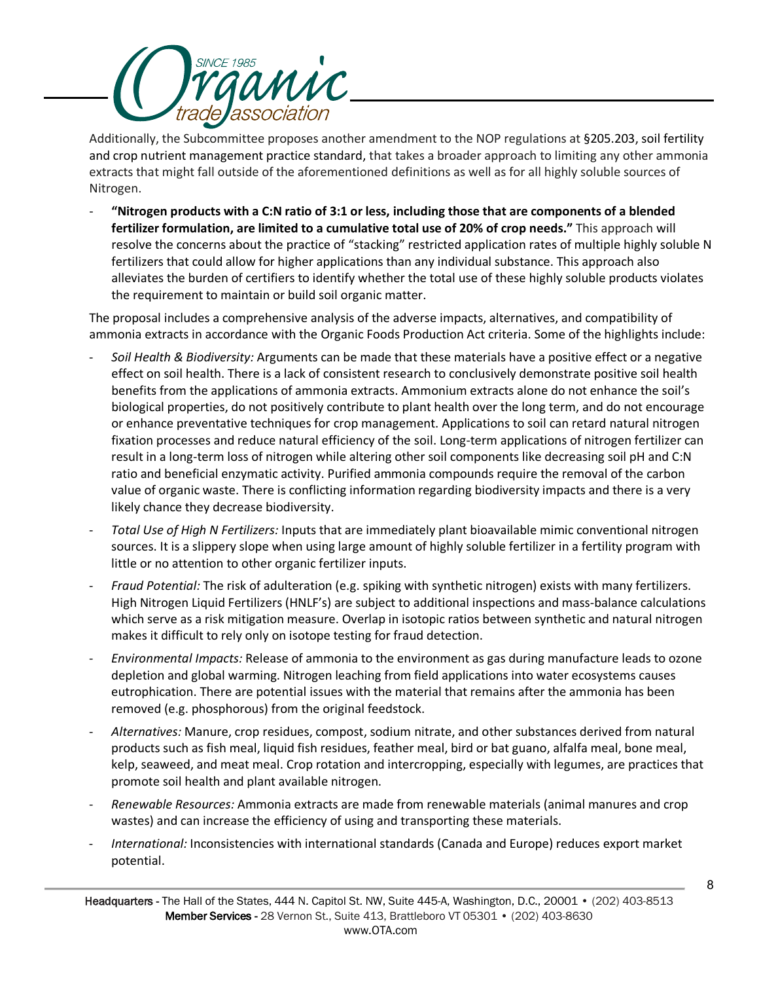

Additionally, the Subcommittee proposes another amendment to the NOP regulations at §205.203, soil fertility and crop nutrient management practice standard, that takes a broader approach to limiting any other ammonia extracts that might fall outside of the aforementioned definitions as well as for all highly soluble sources of Nitrogen.

- **"Nitrogen products with a C:N ratio of 3:1 or less, including those that are components of a blended fertilizer formulation, are limited to a cumulative total use of 20% of crop needs."** This approach will resolve the concerns about the practice of "stacking" restricted application rates of multiple highly soluble N fertilizers that could allow for higher applications than any individual substance. This approach also alleviates the burden of certifiers to identify whether the total use of these highly soluble products violates the requirement to maintain or build soil organic matter.

The proposal includes a comprehensive analysis of the adverse impacts, alternatives, and compatibility of ammonia extracts in accordance with the Organic Foods Production Act criteria. Some of the highlights include:

- *Soil Health & Biodiversity:* Arguments can be made that these materials have a positive effect or a negative effect on soil health. There is a lack of consistent research to conclusively demonstrate positive soil health benefits from the applications of ammonia extracts. Ammonium extracts alone do not enhance the soil's biological properties, do not positively contribute to plant health over the long term, and do not encourage or enhance preventative techniques for crop management. Applications to soil can retard natural nitrogen fixation processes and reduce natural efficiency of the soil. Long-term applications of nitrogen fertilizer can result in a long-term loss of nitrogen while altering other soil components like decreasing soil pH and C:N ratio and beneficial enzymatic activity. Purified ammonia compounds require the removal of the carbon value of organic waste. There is conflicting information regarding biodiversity impacts and there is a very likely chance they decrease biodiversity.
- *Total Use of High N Fertilizers:* Inputs that are immediately plant bioavailable mimic conventional nitrogen sources. It is a slippery slope when using large amount of highly soluble fertilizer in a fertility program with little or no attention to other organic fertilizer inputs.
- *Fraud Potential:* The risk of adulteration (e.g. spiking with synthetic nitrogen) exists with many fertilizers. High Nitrogen Liquid Fertilizers (HNLF's) are subject to additional inspections and mass-balance calculations which serve as a risk mitigation measure. Overlap in isotopic ratios between synthetic and natural nitrogen makes it difficult to rely only on isotope testing for fraud detection.
- *Environmental Impacts:* Release of ammonia to the environment as gas during manufacture leads to ozone depletion and global warming. Nitrogen leaching from field applications into water ecosystems causes eutrophication. There are potential issues with the material that remains after the ammonia has been removed (e.g. phosphorous) from the original feedstock.
- *Alternatives:* Manure, crop residues, compost, sodium nitrate, and other substances derived from natural products such as fish meal, liquid fish residues, feather meal, bird or bat guano, alfalfa meal, bone meal, kelp, seaweed, and meat meal. Crop rotation and intercropping, especially with legumes, are practices that promote soil health and plant available nitrogen.
- *Renewable Resources:* Ammonia extracts are made from renewable materials (animal manures and crop wastes) and can increase the efficiency of using and transporting these materials.
- *International:* Inconsistencies with international standards (Canada and Europe) reduces export market potential.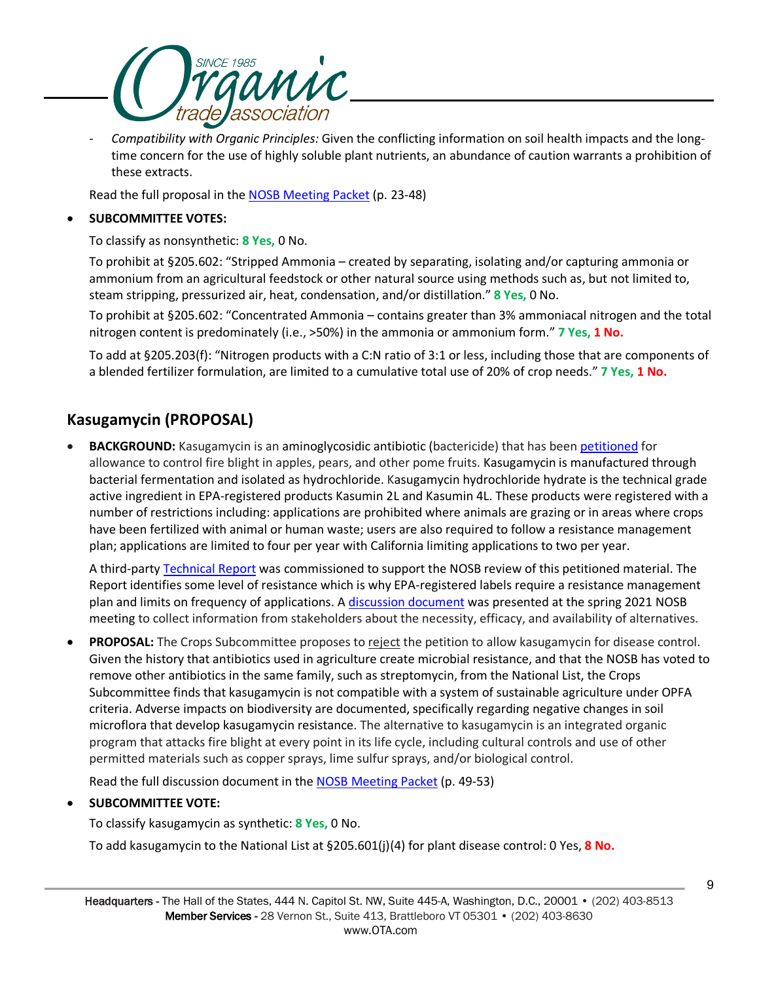

- *Compatibility with Organic Principles:* Given the conflicting information on soil health impacts and the longtime concern for the use of highly soluble plant nutrients, an abundance of caution warrants a prohibition of these extracts.

Read the full proposal in the [NOSB Meeting Packet](https://www.ams.usda.gov/sites/default/files/media/NOSBProposals%26DDsOctober2021acc.pdf) (p. 23-48)

## • **SUBCOMMITTEE VOTES:**

To classify as nonsynthetic: **8 Yes,** 0 No.

To prohibit at §205.602: "Stripped Ammonia – created by separating, isolating and/or capturing ammonia or ammonium from an agricultural feedstock or other natural source using methods such as, but not limited to, steam stripping, pressurized air, heat, condensation, and/or distillation." **8 Yes,** 0 No.

To prohibit at §205.602: "Concentrated Ammonia – contains greater than 3% ammoniacal nitrogen and the total nitrogen content is predominately (i.e., >50%) in the ammonia or ammonium form." **7 Yes, 1 No.**

To add at §205.203(f): "Nitrogen products with a C:N ratio of 3:1 or less, including those that are components of a blended fertilizer formulation, are limited to a cumulative total use of 20% of crop needs." **7 Yes, 1 No.**

## **Kasugamycin (PROPOSAL)**

• **BACKGROUND:** Kasugamycin is an aminoglycosidic antibiotic (bactericide) that has been [petitioned](https://www.ams.usda.gov/sites/default/files/media/Kasugamycin_Petition.pdf) for allowance to control fire blight in apples, pears, and other pome fruits. Kasugamycin is manufactured through bacterial fermentation and isolated as hydrochloride. Kasugamycin hydrochloride hydrate is the technical grade active ingredient in EPA-registered products Kasumin 2L and Kasumin 4L. These products were registered with a number of restrictions including: applications are prohibited where animals are grazing or in areas where crops have been fertilized with animal or human waste; users are also required to follow a resistance management plan; applications are limited to four per year with California limiting applications to two per year.

A third-party [Technical Report](https://www.ams.usda.gov/sites/default/files/media/Kasugamycin_TR.pdf) was commissioned to support the NOSB review of this petitioned material. The Report identifies some level of resistance which is why EPA-registered labels require a resistance management plan and limits on frequency of applications. A [discussion document](https://www.ams.usda.gov/sites/default/files/media/CSKasugamycin.pdf) was presented at the spring 2021 NOSB meeting to collect information from stakeholders about the necessity, efficacy, and availability of alternatives.

• **PROPOSAL:** The Crops Subcommittee proposes to reject the petition to allow kasugamycin for disease control. Given the history that antibiotics used in agriculture create microbial resistance, and that the NOSB has voted to remove other antibiotics in the same family, such as streptomycin, from the National List, the Crops Subcommittee finds that kasugamycin is not compatible with a system of sustainable agriculture under OPFA criteria. Adverse impacts on biodiversity are documented, specifically regarding negative changes in soil microflora that develop kasugamycin resistance. The alternative to kasugamycin is an integrated organic program that attacks fire blight at every point in its life cycle, including cultural controls and use of other permitted materials such as copper sprays, lime sulfur sprays, and/or biological control.

Read the full discussion document in the [NOSB Meeting Packet](https://www.ams.usda.gov/sites/default/files/media/NOSBProposals%26DDsOctober2021acc.pdf) (p. 49-53)

## • **SUBCOMMITTEE VOTE:**

To classify kasugamycin as synthetic: **8 Yes,** 0 No.

To add kasugamycin to the National List at §205.601(j)(4) for plant disease control: 0 Yes, **8 No.**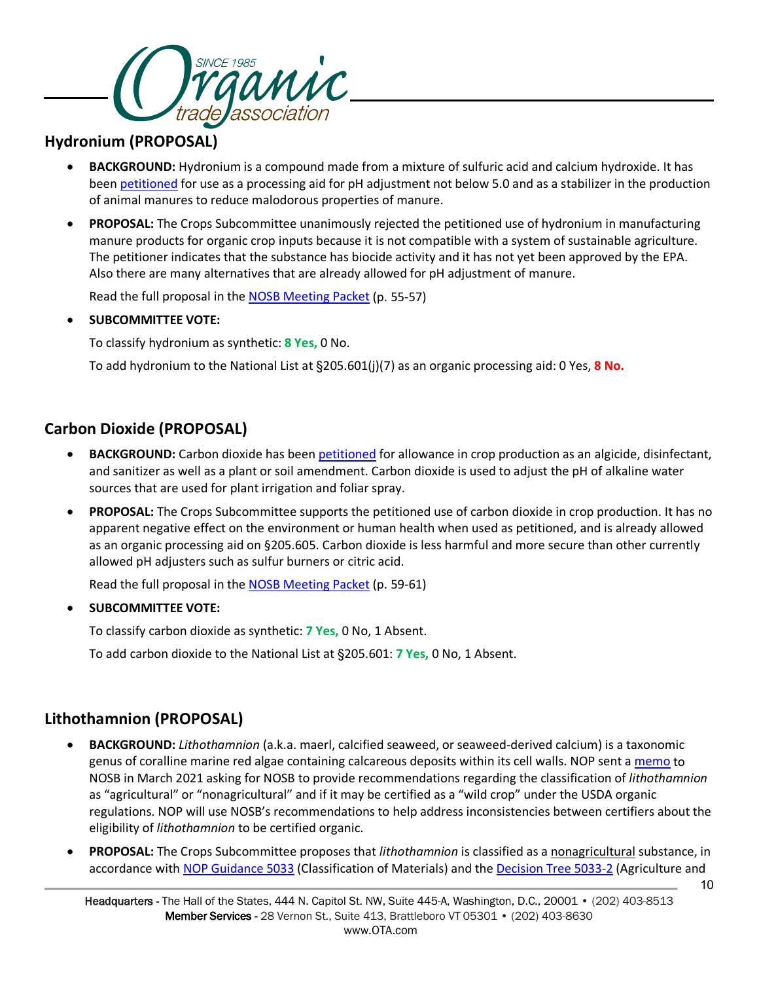

## **Hydronium (PROPOSAL)**

- **BACKGROUND:** Hydronium is a compound made from a mixture of sulfuric acid and calcium hydroxide. It has been [petitioned](https://www.ams.usda.gov/sites/default/files/media/StabilizedHydroniumPetition.pdf) for use as a processing aid for pH adjustment not below 5.0 and as a stabilizer in the production of animal manures to reduce malodorous properties of manure.
- **PROPOSAL:** The Crops Subcommittee unanimously rejected the petitioned use of hydronium in manufacturing manure products for organic crop inputs because it is not compatible with a system of sustainable agriculture. The petitioner indicates that the substance has biocide activity and it has not yet been approved by the EPA. Also there are many alternatives that are already allowed for pH adjustment of manure.

Read the full proposal in the [NOSB Meeting Packet](https://www.ams.usda.gov/sites/default/files/media/NOSBProposals%26DDsOctober2021acc.pdf) (p. 55-57)

## • **SUBCOMMITTEE VOTE:**

To classify hydronium as synthetic: **8 Yes,** 0 No.

To add hydronium to the National List at §205.601(j)(7) as an organic processing aid: 0 Yes, **8 No.**

## **Carbon Dioxide (PROPOSAL)**

- **BACKGROUND:** Carbon dioxide has been [petitioned](https://www.ams.usda.gov/sites/default/files/media/PetitionNOBCarbonDioxide2020.pdf) for allowance in crop production as an algicide, disinfectant, and sanitizer as well as a plant or soil amendment. Carbon dioxide is used to adjust the pH of alkaline water sources that are used for plant irrigation and foliar spray.
- **PROPOSAL:** The Crops Subcommittee supports the petitioned use of carbon dioxide in crop production. It has no apparent negative effect on the environment or human health when used as petitioned, and is already allowed as an organic processing aid on §205.605. Carbon dioxide is less harmful and more secure than other currently allowed pH adjusters such as sulfur burners or citric acid.

Read the full proposal in the [NOSB Meeting Packet](https://www.ams.usda.gov/sites/default/files/media/NOSBProposals%26DDsOctober2021acc.pdf) (p. 59-61)

## • **SUBCOMMITTEE VOTE:**

To classify carbon dioxide as synthetic: **7 Yes,** 0 No, 1 Absent.

To add carbon dioxide to the National List at §205.601: **7 Yes,** 0 No, 1 Absent.

## **Lithothamnion (PROPOSAL)**

- **BACKGROUND:** *Lithothamnion* (a.k.a. maerl, calcified seaweed, or seaweed-derived calcium) is a taxonomic genus of coralline marine red algae containing calcareous deposits within its cell walls. NOP sent a [memo](https://www.ams.usda.gov/sites/default/files/media/NOSBMemoLithothamnion02172021.pdf) to NOSB in March 2021 asking for NOSB to provide recommendations regarding the classification of *lithothamnion* as "agricultural" or "nonagricultural" and if it may be certified as a "wild crop" under the USDA organic regulations. NOP will use NOSB's recommendations to help address inconsistencies between certifiers about the eligibility of *lithothamnion* to be certified organic.
- **PROPOSAL:** The Crops Subcommittee proposes that *lithothamnion* is classified as a nonagricultural substance, in accordance with [NOP Guidance 5033](https://www.ams.usda.gov/sites/default/files/media/NOP-5033.pdf) (Classification of Materials) and th[e Decision Tree 5033-2](https://www.ams.usda.gov/sites/default/files/media/NOP-Ag-NonAg-DecisionTree.pdf) (Agriculture and

10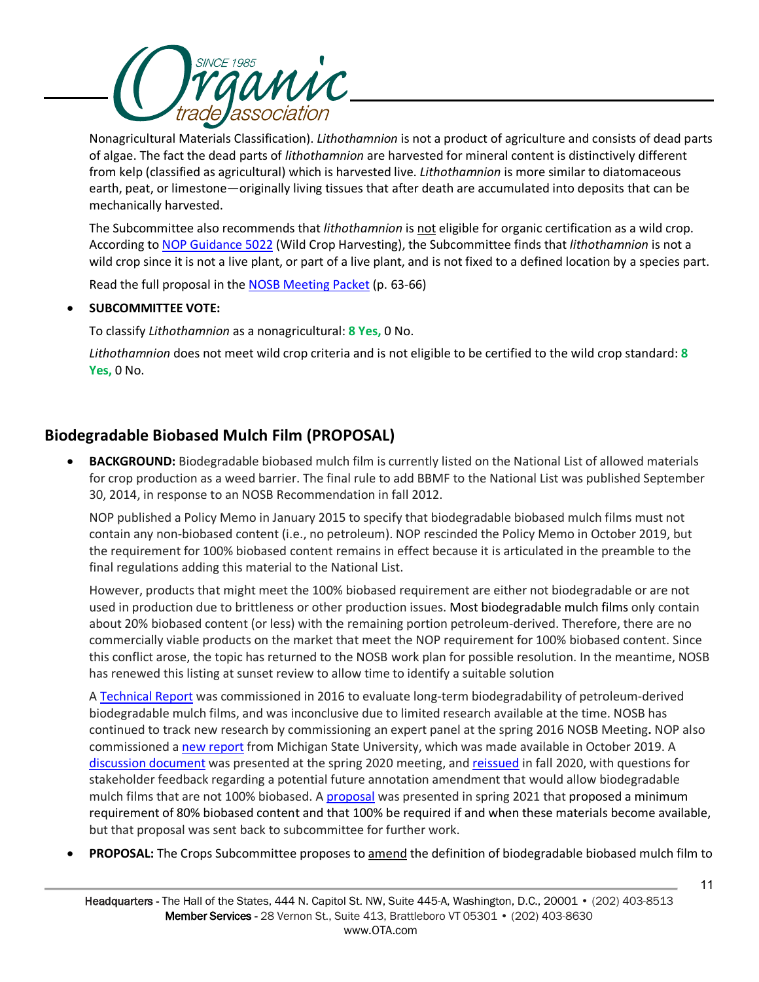

Nonagricultural Materials Classification). *Lithothamnion* is not a product of agriculture and consists of dead parts of algae. The fact the dead parts of *lithothamnion* are harvested for mineral content is distinctively different from kelp (classified as agricultural) which is harvested live. *Lithothamnion* is more similar to diatomaceous earth, peat, or limestone—originally living tissues that after death are accumulated into deposits that can be mechanically harvested.

The Subcommittee also recommends that *lithothamnion* is not eligible for organic certification as a wild crop. According to [NOP Guidance 5022](https://www.ams.usda.gov/sites/default/files/media/5022.pdf) (Wild Crop Harvesting), the Subcommittee finds that *lithothamnion* is not a wild crop since it is not a live plant, or part of a live plant, and is not fixed to a defined location by a species part.

Read the full proposal in the [NOSB Meeting Packet](https://www.ams.usda.gov/sites/default/files/media/NOSBProposals%26DDsOctober2021acc.pdf) (p. 63-66)

## • **SUBCOMMITTEE VOTE:**

To classify *Lithothamnion* as a nonagricultural: **8 Yes,** 0 No.

*Lithothamnion* does not meet wild crop criteria and is not eligible to be certified to the wild crop standard: **8 Yes,** 0 No.

## **Biodegradable Biobased Mulch Film (PROPOSAL)**

**BACKGROUND:** Biodegradable biobased mulch film is currently listed on the National List of allowed materials for crop production as a weed barrier. The final rule to add BBMF to the National List was published September 30, 2014, in response to an NOSB Recommendation in fall 2012.

NOP published a Policy Memo in January 2015 to specify that biodegradable biobased mulch films must not contain any non-biobased content (i.e., no petroleum). NOP rescinded the Policy Memo in October 2019, but the requirement for 100% biobased content remains in effect because it is articulated in the preamble to the final regulations adding this material to the National List.

However, products that might meet the 100% biobased requirement are either not biodegradable or are not used in production due to brittleness or other production issues. Most biodegradable mulch films only contain about 20% biobased content (or less) with the remaining portion petroleum-derived. Therefore, there are no commercially viable products on the market that meet the NOP requirement for 100% biobased content. Since this conflict arose, the topic has returned to the NOSB work plan for possible resolution. In the meantime, NOSB has renewed this listing at sunset review to allow time to identify a suitable solution

A [Technical Report](https://www.ams.usda.gov/sites/default/files/media/BiodegradableBiobasedMulchFilmTRCrops.pdf) was commissioned in 2016 to evaluate long-term biodegradability of petroleum-derived biodegradable mulch films, and was inconclusive due to limited research available at the time. NOSB has continued to track new research by commissioning an expert panel at the spring 2016 NOSB Meeting**.** NOP also commissioned a [new report](https://www.ams.usda.gov/sites/default/files/media/2019MemoBiobasedMulchReport.pdf) from Michigan State University, which was made available in October 2019. A [discussion document](https://www.ams.usda.gov/sites/default/files/media/CSBiodegradBiobasedMulchApril2020.pdf) was presented at the spring 2020 meeting, and [reissued](https://www.ams.usda.gov/sites/default/files/media/CSBiodegradableBiobasedMulchFilm.pdf) in fall 2020, with questions for stakeholder feedback regarding a potential future annotation amendment that would allow biodegradable mulch films that are not 100% biobased. [A proposal](https://www.ams.usda.gov/sites/default/files/media/CSBiodegradableBiobasedMulchFilm_0.pdf) was presented in spring 2021 that proposed a minimum requirement of 80% biobased content and that 100% be required if and when these materials become available, but that proposal was sent back to subcommittee for further work.

• **PROPOSAL:** The Crops Subcommittee proposes to amend the definition of biodegradable biobased mulch film to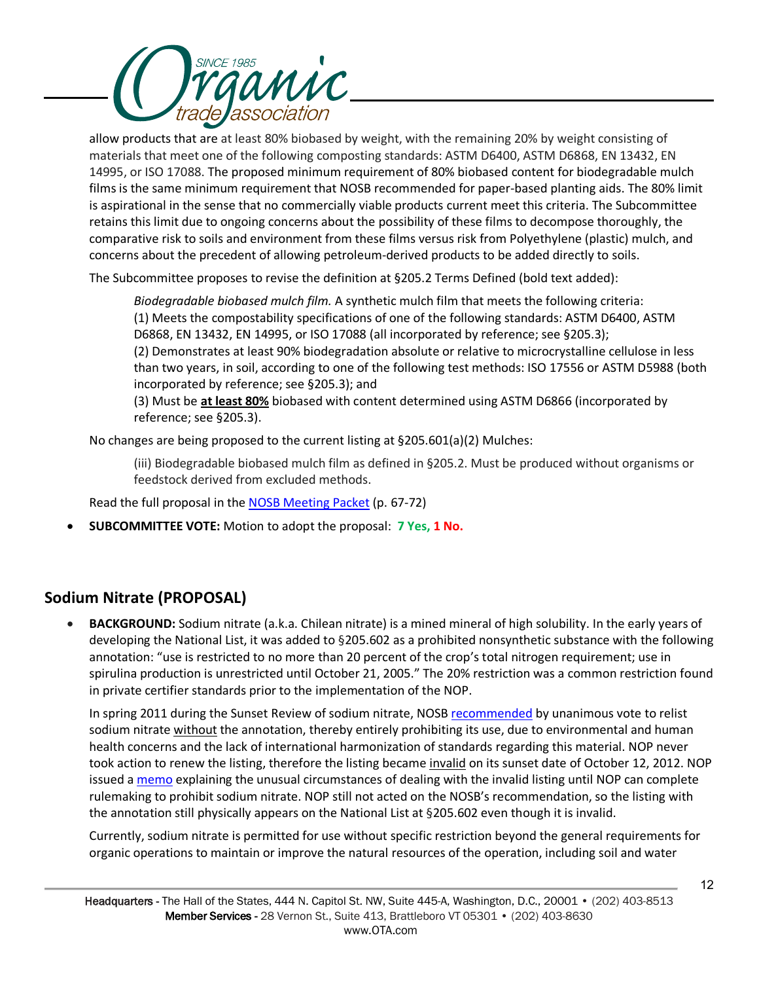

allow products that are at least 80% biobased by weight, with the remaining 20% by weight consisting of materials that meet one of the following composting standards: ASTM D6400, ASTM D6868, EN 13432, EN 14995, or ISO 17088. The proposed minimum requirement of 80% biobased content for biodegradable mulch films is the same minimum requirement that NOSB recommended for paper-based planting aids. The 80% limit is aspirational in the sense that no commercially viable products current meet this criteria. The Subcommittee retains this limit due to ongoing concerns about the possibility of these films to decompose thoroughly, the comparative risk to soils and environment from these films versus risk from Polyethylene (plastic) mulch, and concerns about the precedent of allowing petroleum-derived products to be added directly to soils.

The Subcommittee proposes to revise the definition at §205.2 Terms Defined (bold text added):

*Biodegradable biobased mulch film.* A synthetic mulch film that meets the following criteria: (1) Meets the compostability specifications of one of the following standards: ASTM D6400, ASTM D6868, EN 13432, EN 14995, or ISO 17088 (all incorporated by reference; see §205.3); (2) Demonstrates at least 90% biodegradation absolute or relative to microcrystalline cellulose in less than two years, in soil, according to one of the following test methods: ISO 17556 or ASTM D5988 (both incorporated by reference; see §205.3); and

(3) Must be **at least 80%** biobased with content determined using ASTM D6866 (incorporated by reference; see §205.3).

No changes are being proposed to the current listing at §205.601(a)(2) Mulches:

(iii) Biodegradable biobased mulch film as defined in §205.2. Must be produced without organisms or feedstock derived from excluded methods.

Read the full proposal in the [NOSB Meeting Packet](https://www.ams.usda.gov/sites/default/files/media/NOSBProposals%26DDsOctober2021acc.pdf) (p. 67-72)

• **SUBCOMMITTEE VOTE:** Motion to adopt the proposal: **7 Yes, 1 No.**

## **Sodium Nitrate (PROPOSAL)**

• **BACKGROUND:** Sodium nitrate (a.k.a. Chilean nitrate) is a mined mineral of high solubility. In the early years of developing the National List, it was added to §205.602 as a prohibited nonsynthetic substance with the following annotation: "use is restricted to no more than 20 percent of the crop's total nitrogen requirement; use in spirulina production is unrestricted until October 21, 2005." The 20% restriction was a common restriction found in private certifier standards prior to the implementation of the NOP.

In spring 2011 during the Sunset Review of sodium nitrate, NOSB [recommended](https://www.ams.usda.gov/sites/default/files/media/Sodium%20Nitrate%20Final%20Rec.pdf) by unanimous vote to relist sodium nitrate without the annotation, thereby entirely prohibiting its use, due to environmental and human health concerns and the lack of international harmonization of standards regarding this material. NOP never took action to renew the listing, therefore the listing became invalid on its sunset date of October 12, 2012. NOP issued [a memo](https://www.ams.usda.gov/sites/default/files/media/NOP-Notice-12-1-SodiumNitrate.pdf) explaining the unusual circumstances of dealing with the invalid listing until NOP can complete rulemaking to prohibit sodium nitrate. NOP still not acted on the NOSB's recommendation, so the listing with the annotation still physically appears on the National List at §205.602 even though it is invalid.

Currently, sodium nitrate is permitted for use without specific restriction beyond the general requirements for organic operations to maintain or improve the natural resources of the operation, including soil and water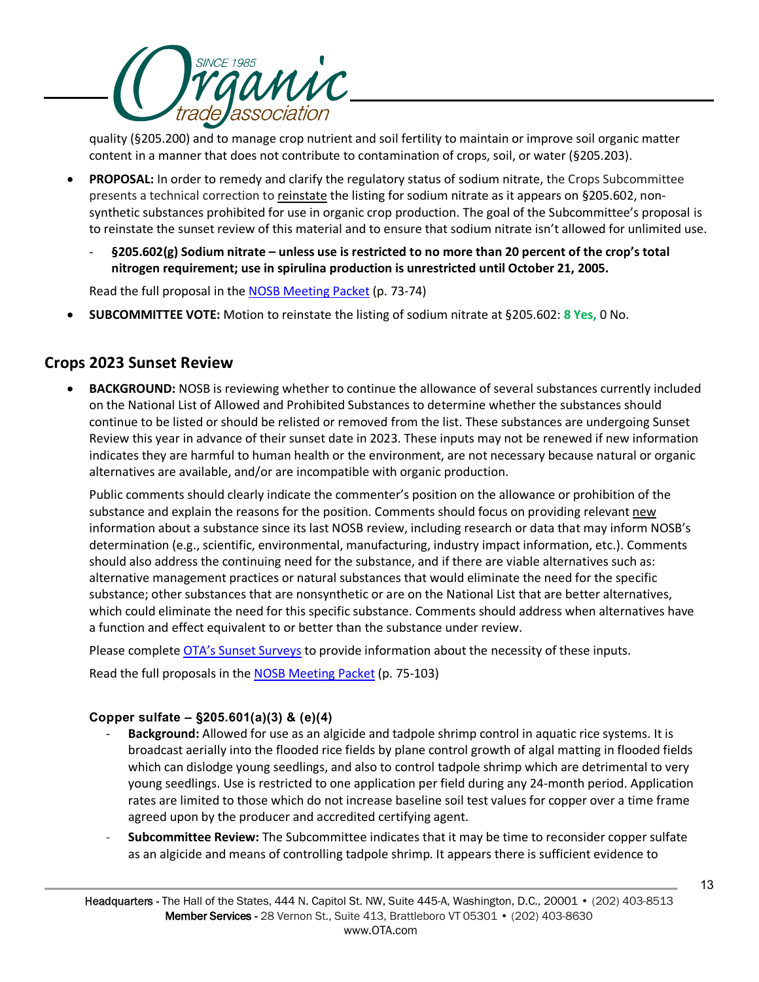

quality (§205.200) and to manage crop nutrient and soil fertility to maintain or improve soil organic matter content in a manner that does not contribute to contamination of crops, soil, or water (§205.203).

- **PROPOSAL:** In order to remedy and clarify the regulatory status of sodium nitrate, the Crops Subcommittee presents a technical correction to reinstate the listing for sodium nitrate as it appears on §205.602, nonsynthetic substances prohibited for use in organic crop production. The goal of the Subcommittee's proposal is to reinstate the sunset review of this material and to ensure that sodium nitrate isn't allowed for unlimited use.
	- **§205.602(g) Sodium nitrate – unless use is restricted to no more than 20 percent of the crop's total nitrogen requirement; use in spirulina production is unrestricted until October 21, 2005.**

Read the full proposal in the [NOSB Meeting Packet](https://www.ams.usda.gov/sites/default/files/media/NOSBProposals%26DDsOctober2021acc.pdf) (p. 73-74)

• **SUBCOMMITTEE VOTE:** Motion to reinstate the listing of sodium nitrate at §205.602: **8 Yes,** 0 No.

## **Crops 2023 Sunset Review**

• **BACKGROUND:** NOSB is reviewing whether to continue the allowance of several substances currently included on the National List of Allowed and Prohibited Substances to determine whether the substances should continue to be listed or should be relisted or removed from the list. These substances are undergoing Sunset Review this year in advance of their sunset date in 2023. These inputs may not be renewed if new information indicates they are harmful to human health or the environment, are not necessary because natural or organic alternatives are available, and/or are incompatible with organic production.

Public comments should clearly indicate the commenter's position on the allowance or prohibition of the substance and explain the reasons for the position. Comments should focus on providing relevant new information about a substance since its last NOSB review, including research or data that may inform NOSB's determination (e.g., scientific, environmental, manufacturing, industry impact information, etc.). Comments should also address the continuing need for the substance, and if there are viable alternatives such as: alternative management practices or natural substances that would eliminate the need for the specific substance; other substances that are nonsynthetic or are on the National List that are better alternatives, which could eliminate the need for this specific substance. Comments should address when alternatives have a function and effect equivalent to or better than the substance under review.

Please complete [OTA's Sunset Surveys](https://ota.com/advocacy/organic-standards/national-organic-standards-board/nosb-spring-2021-meeting) to provide information about the necessity of these inputs.

Read the full proposals in the [NOSB Meeting Packet](https://www.ams.usda.gov/sites/default/files/media/NOSBProposals%26DDsOctober2021acc.pdf) (p. 75-103)

## **Copper sulfate – §205.601(a)(3) & (e)(4)**

- **Background:** Allowed for use as an algicide and tadpole shrimp control in aquatic rice systems. It is broadcast aerially into the flooded rice fields by plane control growth of algal matting in flooded fields which can dislodge young seedlings, and also to control tadpole shrimp which are detrimental to very young seedlings. Use is restricted to one application per field during any 24-month period. Application rates are limited to those which do not increase baseline soil test values for copper over a time frame agreed upon by the producer and accredited certifying agent.
- **Subcommittee Review:** The Subcommittee indicates that it may be time to reconsider copper sulfate as an algicide and means of controlling tadpole shrimp. It appears there is sufficient evidence to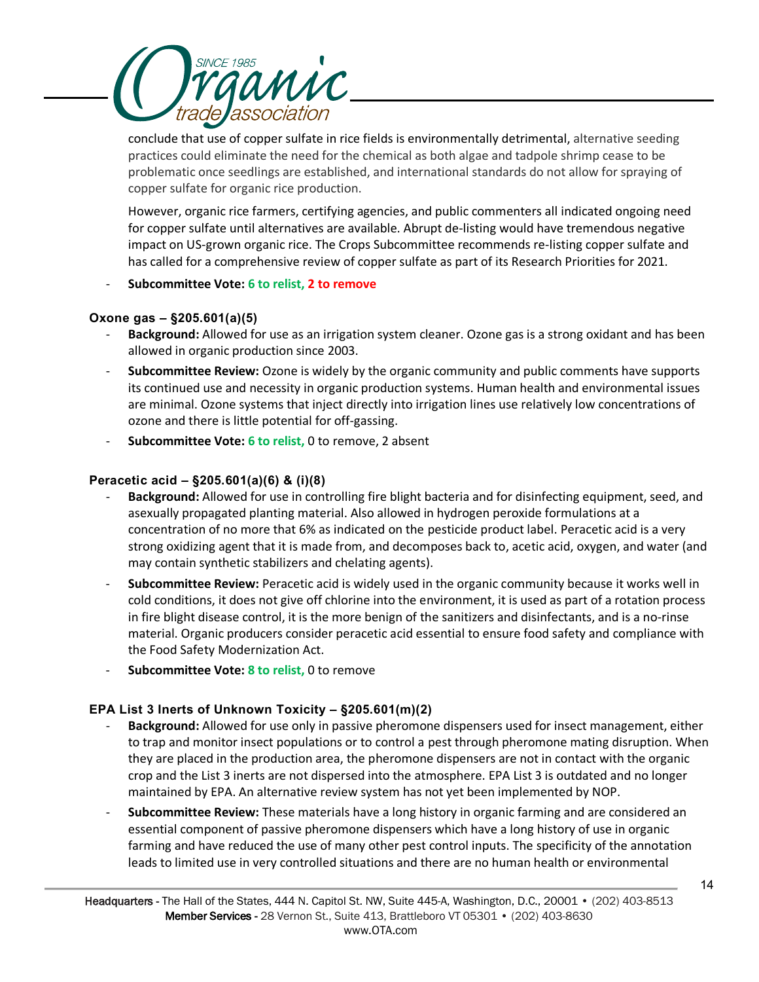

conclude that use of copper sulfate in rice fields is environmentally detrimental, alternative seeding practices could eliminate the need for the chemical as both algae and tadpole shrimp cease to be problematic once seedlings are established, and international standards do not allow for spraying of copper sulfate for organic rice production.

However, organic rice farmers, certifying agencies, and public commenters all indicated ongoing need for copper sulfate until alternatives are available. Abrupt de-listing would have tremendous negative impact on US-grown organic rice. The Crops Subcommittee recommends re-listing copper sulfate and has called for a comprehensive review of copper sulfate as part of its Research Priorities for 2021.

### - **Subcommittee Vote: 6 to relist, 2 to remove**

## **Oxone gas – §205.601(a)(5)**

- **Background:** Allowed for use as an irrigation system cleaner. Ozone gas is a strong oxidant and has been allowed in organic production since 2003.
- **Subcommittee Review:** Ozone is widely by the organic community and public comments have supports its continued use and necessity in organic production systems. Human health and environmental issues are minimal. Ozone systems that inject directly into irrigation lines use relatively low concentrations of ozone and there is little potential for off-gassing.
- **Subcommittee Vote: 6 to relist,** 0 to remove, 2 absent

## **Peracetic acid – §205.601(a)(6) & (i)(8)**

- **Background:** Allowed for use in controlling fire blight bacteria and for disinfecting equipment, seed, and asexually propagated planting material. Also allowed in hydrogen peroxide formulations at a concentration of no more that 6% as indicated on the pesticide product label. Peracetic acid is a very strong oxidizing agent that it is made from, and decomposes back to, acetic acid, oxygen, and water (and may contain synthetic stabilizers and chelating agents).
- **Subcommittee Review:** Peracetic acid is widely used in the organic community because it works well in cold conditions, it does not give off chlorine into the environment, it is used as part of a rotation process in fire blight disease control, it is the more benign of the sanitizers and disinfectants, and is a no-rinse material. Organic producers consider peracetic acid essential to ensure food safety and compliance with the Food Safety Modernization Act.
- **Subcommittee Vote: 8 to relist,** 0 to remove

## **EPA List 3 Inerts of Unknown Toxicity – §205.601(m)(2)**

- **Background:** Allowed for use only in passive pheromone dispensers used for insect management, either to trap and monitor insect populations or to control a pest through pheromone mating disruption. When they are placed in the production area, the pheromone dispensers are not in contact with the organic crop and the List 3 inerts are not dispersed into the atmosphere. EPA List 3 is outdated and no longer maintained by EPA. An alternative review system has not yet been implemented by NOP.
- **Subcommittee Review:** These materials have a long history in organic farming and are considered an essential component of passive pheromone dispensers which have a long history of use in organic farming and have reduced the use of many other pest control inputs. The specificity of the annotation leads to limited use in very controlled situations and there are no human health or environmental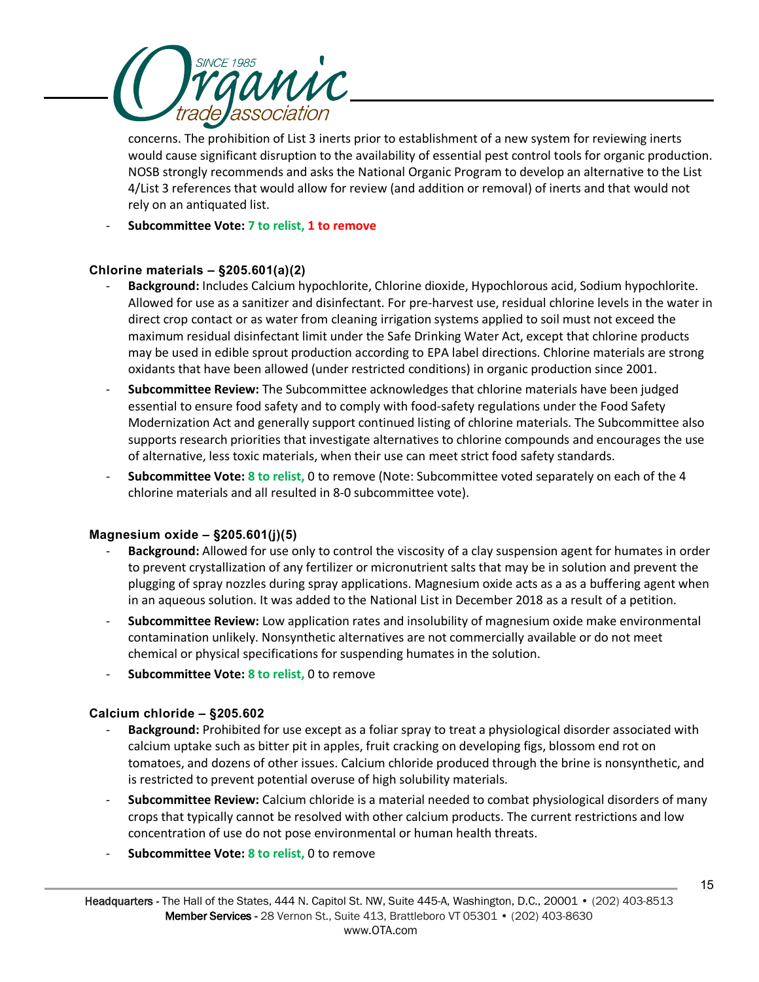

concerns. The prohibition of List 3 inerts prior to establishment of a new system for reviewing inerts would cause significant disruption to the availability of essential pest control tools for organic production. NOSB strongly recommends and asks the National Organic Program to develop an alternative to the List 4/List 3 references that would allow for review (and addition or removal) of inerts and that would not rely on an antiquated list.

- **Subcommittee Vote: 7 to relist, 1 to remove**

## **Chlorine materials – §205.601(a)(2)**

- Background: Includes Calcium hypochlorite, Chlorine dioxide, Hypochlorous acid, Sodium hypochlorite. Allowed for use as a sanitizer and disinfectant. For pre-harvest use, residual chlorine levels in the water in direct crop contact or as water from cleaning irrigation systems applied to soil must not exceed the maximum residual disinfectant limit under the Safe Drinking Water Act, except that chlorine products may be used in edible sprout production according to EPA label directions. Chlorine materials are strong oxidants that have been allowed (under restricted conditions) in organic production since 2001.
- **Subcommittee Review:** The Subcommittee acknowledges that chlorine materials have been judged essential to ensure food safety and to comply with food-safety regulations under the Food Safety Modernization Act and generally support continued listing of chlorine materials. The Subcommittee also supports research priorities that investigate alternatives to chlorine compounds and encourages the use of alternative, less toxic materials, when their use can meet strict food safety standards.
- **Subcommittee Vote: 8 to relist,** 0 to remove (Note: Subcommittee voted separately on each of the 4 chlorine materials and all resulted in 8-0 subcommittee vote).

### **Magnesium oxide – §205.601(j)(5)**

- **Background:** Allowed for use only to control the viscosity of a clay suspension agent for humates in order to prevent crystallization of any fertilizer or micronutrient salts that may be in solution and prevent the plugging of spray nozzles during spray applications. Magnesium oxide acts as a as a buffering agent when in an aqueous solution. It was added to the National List in December 2018 as a result of a petition.
- **Subcommittee Review:** Low application rates and insolubility of magnesium oxide make environmental contamination unlikely. Nonsynthetic alternatives are not commercially available or do not meet chemical or physical specifications for suspending humates in the solution.
- **Subcommittee Vote: 8 to relist,** 0 to remove

### **Calcium chloride – §205.602**

- **Background:** Prohibited for use except as a foliar spray to treat a physiological disorder associated with calcium uptake such as bitter pit in apples, fruit cracking on developing figs, blossom end rot on tomatoes, and dozens of other issues. Calcium chloride produced through the brine is nonsynthetic, and is restricted to prevent potential overuse of high solubility materials.
- **Subcommittee Review:** Calcium chloride is a material needed to combat physiological disorders of many crops that typically cannot be resolved with other calcium products. The current restrictions and low concentration of use do not pose environmental or human health threats.
- **Subcommittee Vote: 8 to relist, 0 to remove**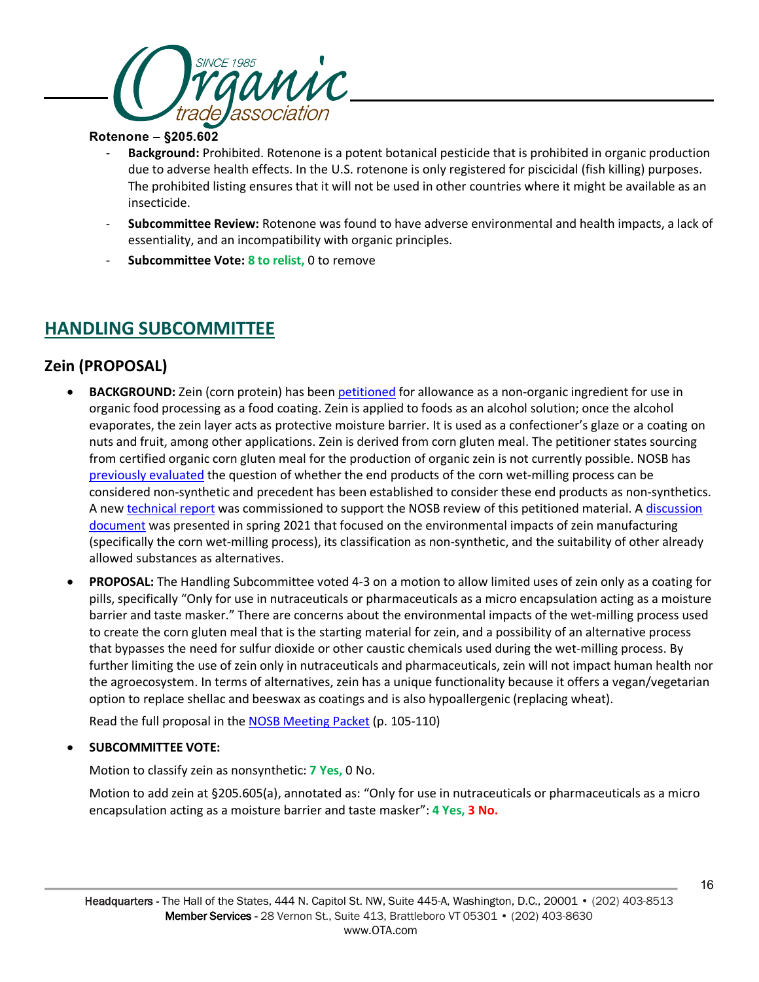

## **Rotenone – §205.602**

- **Background:** Prohibited. Rotenone is a potent botanical pesticide that is prohibited in organic production due to adverse health effects. In the U.S. rotenone is only registered for piscicidal (fish killing) purposes. The prohibited listing ensures that it will not be used in other countries where it might be available as an insecticide.
- **Subcommittee Review:** Rotenone was found to have adverse environmental and health impacts, a lack of essentiality, and an incompatibility with organic principles.
- **Subcommittee Vote: 8 to relist,** 0 to remove

## **HANDLING SUBCOMMITTEE**

## **Zein (PROPOSAL)**

- **BACKGROUND:** Zein (corn protein) has been [petitioned](https://www.ams.usda.gov/sites/default/files/media/Zein_Petition_2192020.pdf) for allowance as a non-organic ingredient for use in organic food processing as a food coating. Zein is applied to foods as an alcohol solution; once the alcohol evaporates, the zein layer acts as protective moisture barrier. It is used as a confectioner's glaze or a coating on nuts and fruit, among other applications. Zein is derived from corn gluten meal. The petitioner states sourcing from certified organic corn gluten meal for the production of organic zein is not currently possible. NOSB has [previously evaluated](https://www.ams.usda.gov/sites/default/files/media/Corn%20Steep%20Liquor%20Committee%20Rec%202011.pdf) the question of whether the end products of the corn wet-milling process can be considered non-synthetic and precedent has been established to consider these end products as non-synthetics. A ne[w technical report](https://www.ams.usda.gov/sites/default/files/media/Zein_TR.pdf) was commissioned to support the NOSB review of this petitioned material. A discussion [document](https://www.ams.usda.gov/sites/default/files/media/HSZein.pdf) was presented in spring 2021 that focused on the environmental impacts of zein manufacturing (specifically the corn wet-milling process), its classification as non-synthetic, and the suitability of other already allowed substances as alternatives.
- **PROPOSAL:** The Handling Subcommittee voted 4-3 on a motion to allow limited uses of zein only as a coating for pills, specifically "Only for use in nutraceuticals or pharmaceuticals as a micro encapsulation acting as a moisture barrier and taste masker." There are concerns about the environmental impacts of the wet-milling process used to create the corn gluten meal that is the starting material for zein, and a possibility of an alternative process that bypasses the need for sulfur dioxide or other caustic chemicals used during the wet-milling process. By further limiting the use of zein only in nutraceuticals and pharmaceuticals, zein will not impact human health nor the agroecosystem. In terms of alternatives, zein has a unique functionality because it offers a vegan/vegetarian option to replace shellac and beeswax as coatings and is also hypoallergenic (replacing wheat).

Read the full proposal in the [NOSB Meeting Packet](https://www.ams.usda.gov/sites/default/files/media/NOSBProposals%26DDsOctober2021acc.pdf) (p. 105-110)

## • **SUBCOMMITTEE VOTE:**

Motion to classify zein as nonsynthetic: **7 Yes,** 0 No.

Motion to add zein at §205.605(a), annotated as: "Only for use in nutraceuticals or pharmaceuticals as a micro encapsulation acting as a moisture barrier and taste masker": **4 Yes, 3 No.**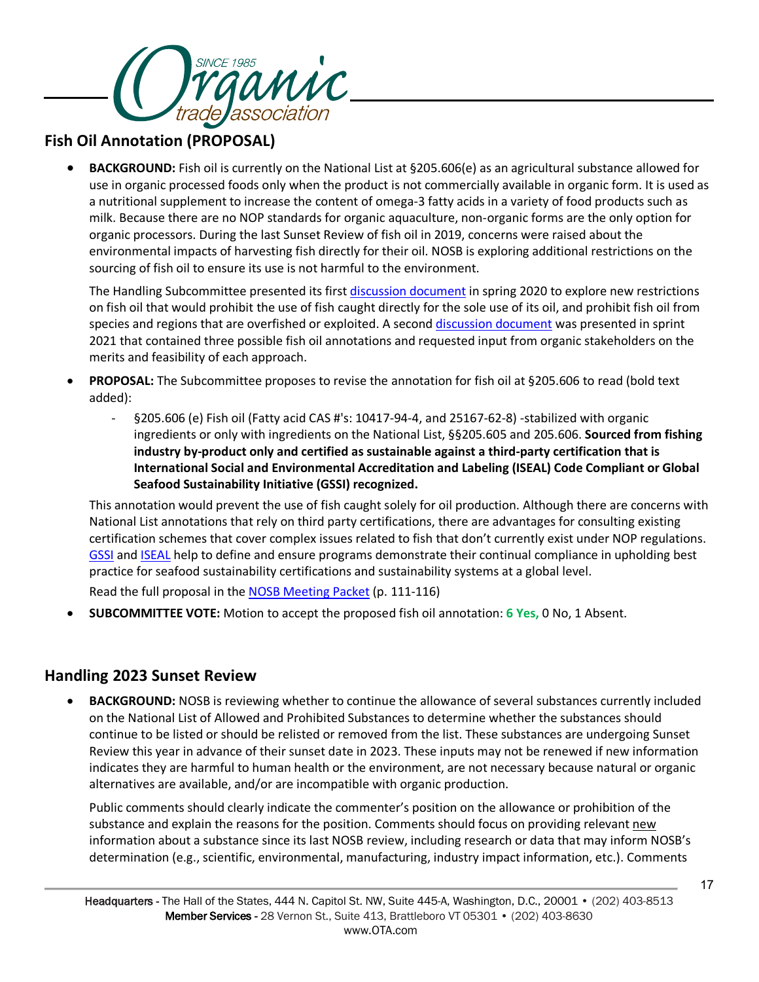

## **Fish Oil Annotation (PROPOSAL)**

• **BACKGROUND:** Fish oil is currently on the National List at §205.606(e) as an agricultural substance allowed for use in organic processed foods only when the product is not commercially available in organic form. It is used as a nutritional supplement to increase the content of omega-3 fatty acids in a variety of food products such as milk. Because there are no NOP standards for organic aquaculture, non-organic forms are the only option for organic processors. During the last Sunset Review of fish oil in 2019, concerns were raised about the environmental impacts of harvesting fish directly for their oil. NOSB is exploring additional restrictions on the sourcing of fish oil to ensure its use is not harmful to the environment.

The Handling Subcommittee presented its firs[t discussion document](https://www.ams.usda.gov/sites/default/files/media/HSFishOilAnnotationDDApril2020.pdf) in spring 2020 to explore new restrictions on fish oil that would prohibit the use of fish caught directly for the sole use of its oil, and prohibit fish oil from species and regions that are overfished or exploited. A secon[d discussion document](https://www.ams.usda.gov/sites/default/files/media/HSFishOilAnnotation.pdf) was presented in sprint 2021 that contained three possible fish oil annotations and requested input from organic stakeholders on the merits and feasibility of each approach.

- **PROPOSAL:** The Subcommittee proposes to revise the annotation for fish oil at §205.606 to read (bold text added):
	- §205.606 (e) Fish oil (Fatty acid CAS #'s: 10417-94-4, and 25167-62-8) -stabilized with organic ingredients or only with ingredients on the National List, §§205.605 and 205.606. **Sourced from fishing industry by-product only and certified as sustainable against a third-party certification that is International Social and Environmental Accreditation and Labeling (ISEAL) Code Compliant or Global Seafood Sustainability Initiative (GSSI) recognized.**

This annotation would prevent the use of fish caught solely for oil production. Although there are concerns with National List annotations that rely on third party certifications, there are advantages for consulting existing certification schemes that cover complex issues related to fish that don't currently exist under NOP regulations. [GSSI](https://www.ourgssi.org/gssi-recognized-certifcation/) an[d ISEAL](https://www.isealalliance.org/) help to define and ensure programs demonstrate their continual compliance in upholding best practice for seafood sustainability certifications and sustainability systems at a global level.

Read the full proposal in the [NOSB Meeting Packet](https://www.ams.usda.gov/sites/default/files/media/NOSBProposals%26DDsOctober2021acc.pdf) (p. 111-116)

• **SUBCOMMITTEE VOTE:** Motion to accept the proposed fish oil annotation: **6 Yes,** 0 No, 1 Absent.

## **Handling 2023 Sunset Review**

• **BACKGROUND:** NOSB is reviewing whether to continue the allowance of several substances currently included on the National List of Allowed and Prohibited Substances to determine whether the substances should continue to be listed or should be relisted or removed from the list. These substances are undergoing Sunset Review this year in advance of their sunset date in 2023. These inputs may not be renewed if new information indicates they are harmful to human health or the environment, are not necessary because natural or organic alternatives are available, and/or are incompatible with organic production.

Public comments should clearly indicate the commenter's position on the allowance or prohibition of the substance and explain the reasons for the position. Comments should focus on providing relevant new information about a substance since its last NOSB review, including research or data that may inform NOSB's determination (e.g., scientific, environmental, manufacturing, industry impact information, etc.). Comments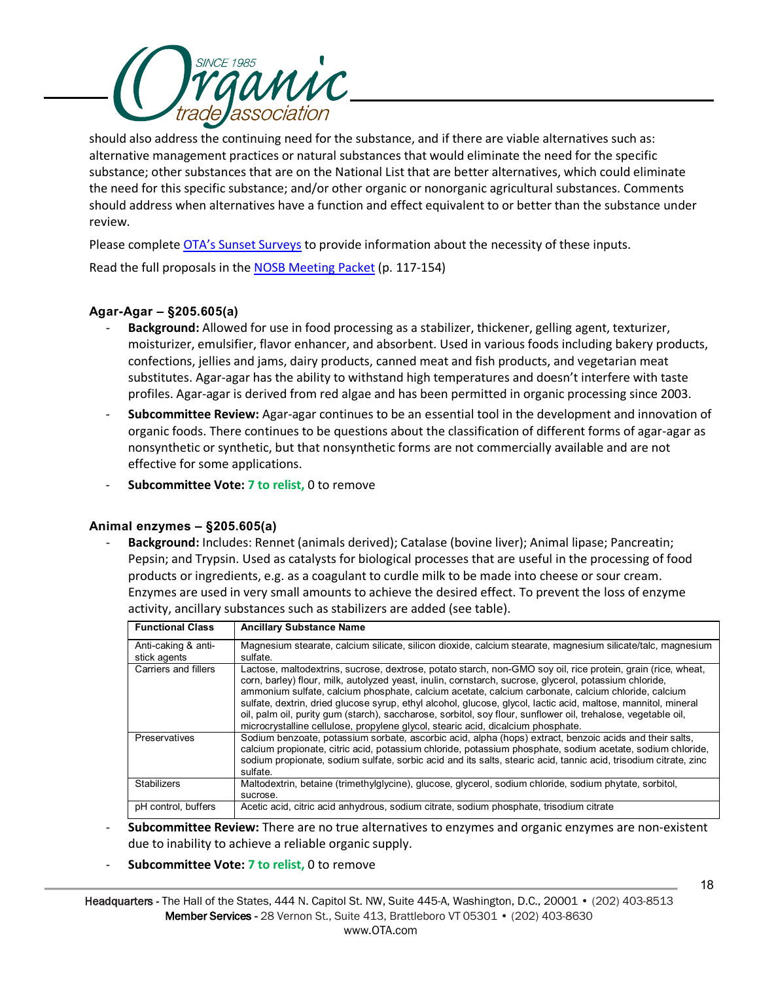

should also address the continuing need for the substance, and if there are viable alternatives such as: alternative management practices or natural substances that would eliminate the need for the specific substance; other substances that are on the National List that are better alternatives, which could eliminate the need for this specific substance; and/or other organic or nonorganic agricultural substances. Comments should address when alternatives have a function and effect equivalent to or better than the substance under review.

Please complete [OTA's Sunset Surveys](https://ota.com/advocacy/organic-standards/national-organic-standards-board/nosb-spring-2021-meeting) to provide information about the necessity of these inputs.

Read the full proposals in the [NOSB Meeting Packet](https://www.ams.usda.gov/sites/default/files/media/NOSBProposals%26DDsOctober2021acc.pdf) (p. 117-154)

### **Agar-Agar – §205.605(a)**

- Background: Allowed for use in food processing as a stabilizer, thickener, gelling agent, texturizer, moisturizer, emulsifier, flavor enhancer, and absorbent. Used in various foods including bakery products, confections, jellies and jams, dairy products, canned meat and fish products, and vegetarian meat substitutes. Agar-agar has the ability to withstand high temperatures and doesn't interfere with taste profiles. Agar-agar is derived from red algae and has been permitted in organic processing since 2003.
- **Subcommittee Review:** Agar-agar continues to be an essential tool in the development and innovation of organic foods. There continues to be questions about the classification of different forms of agar-agar as nonsynthetic or synthetic, but that nonsynthetic forms are not commercially available and are not effective for some applications.
- **Subcommittee Vote: 7 to relist,** 0 to remove

### **Animal enzymes – §205.605(a)**

- **Background:** Includes: Rennet (animals derived); Catalase (bovine liver); Animal lipase; Pancreatin; Pepsin; and Trypsin. Used as catalysts for biological processes that are useful in the processing of food products or ingredients, e.g. as a coagulant to curdle milk to be made into cheese or sour cream. Enzymes are used in very small amounts to achieve the desired effect. To prevent the loss of enzyme activity, ancillary substances such as stabilizers are added (see table).

| <b>Functional Class</b> | <b>Ancillary Substance Name</b>                                                                                  |
|-------------------------|------------------------------------------------------------------------------------------------------------------|
| Anti-caking & anti-     | Magnesium stearate, calcium silicate, silicon dioxide, calcium stearate, magnesium silicate/talc, magnesium      |
| stick agents            | sulfate.                                                                                                         |
| Carriers and fillers    | Lactose, maltodextrins, sucrose, dextrose, potato starch, non-GMO soy oil, rice protein, grain (rice, wheat,     |
|                         | corn, barley) flour, milk, autolyzed yeast, inulin, cornstarch, sucrose, glycerol, potassium chloride,           |
|                         | ammonium sulfate, calcium phosphate, calcium acetate, calcium carbonate, calcium chloride, calcium               |
|                         | sulfate, dextrin, dried glucose syrup, ethyl alcohol, glucose, glycol, lactic acid, maltose, mannitol, mineral   |
|                         | oil, palm oil, purity qum (starch), saccharose, sorbitol, soy flour, sunflower oil, trehalose, vegetable oil,    |
|                         | microcrystalline cellulose, propylene glycol, stearic acid, dicalcium phosphate.                                 |
| Preservatives           | Sodium benzoate, potassium sorbate, ascorbic acid, alpha (hops) extract, benzoic acids and their salts,          |
|                         | calcium propionate, citric acid, potassium chloride, potassium phosphate, sodium acetate, sodium chloride,       |
|                         | sodium propionate, sodium sulfate, sorbic acid and its salts, stearic acid, tannic acid, trisodium citrate, zinc |
|                         | sulfate.                                                                                                         |
| <b>Stabilizers</b>      | Maltodextrin, betaine (trimethylglycine), glucose, glycerol, sodium chloride, sodium phytate, sorbitol,          |
|                         | sucrose.                                                                                                         |
| pH control, buffers     | Acetic acid, citric acid anhydrous, sodium citrate, sodium phosphate, trisodium citrate                          |

- **Subcommittee Review:** There are no true alternatives to enzymes and organic enzymes are non-existent due to inability to achieve a reliable organic supply.
- **Subcommittee Vote: 7 to relist,** 0 to remove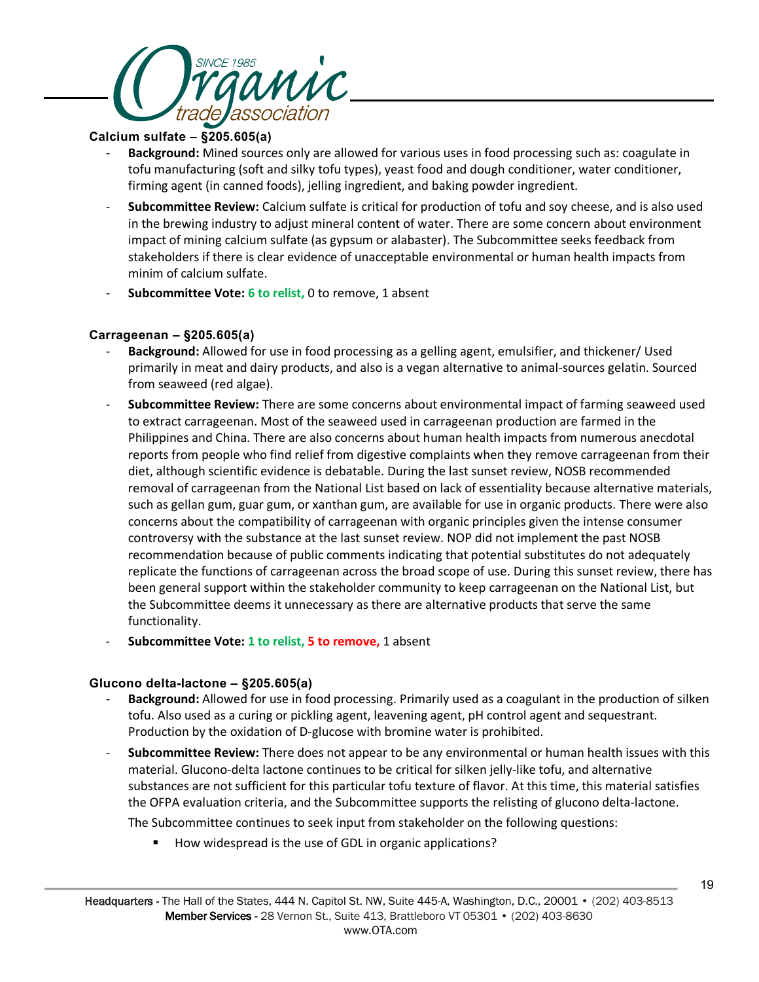

## **Calcium sulfate – §205.605(a)**

- **Background:** Mined sources only are allowed for various uses in food processing such as: coagulate in tofu manufacturing (soft and silky tofu types), yeast food and dough conditioner, water conditioner, firming agent (in canned foods), jelling ingredient, and baking powder ingredient.
- **Subcommittee Review:** Calcium sulfate is critical for production of tofu and soy cheese, and is also used in the brewing industry to adjust mineral content of water. There are some concern about environment impact of mining calcium sulfate (as gypsum or alabaster). The Subcommittee seeks feedback from stakeholders if there is clear evidence of unacceptable environmental or human health impacts from minim of calcium sulfate.
- **Subcommittee Vote: 6 to relist,** 0 to remove, 1 absent

## **Carrageenan – §205.605(a)**

- **Background:** Allowed for use in food processing as a gelling agent, emulsifier, and thickener/ Used primarily in meat and dairy products, and also is a vegan alternative to animal-sources gelatin. Sourced from seaweed (red algae).
- **Subcommittee Review:** There are some concerns about environmental impact of farming seaweed used to extract carrageenan. Most of the seaweed used in carrageenan production are farmed in the Philippines and China. There are also concerns about human health impacts from numerous anecdotal reports from people who find relief from digestive complaints when they remove carrageenan from their diet, although scientific evidence is debatable. During the last sunset review, NOSB recommended removal of carrageenan from the National List based on lack of essentiality because alternative materials, such as gellan gum, guar gum, or xanthan gum, are available for use in organic products. There were also concerns about the compatibility of carrageenan with organic principles given the intense consumer controversy with the substance at the last sunset review. NOP did not implement the past NOSB recommendation because of public comments indicating that potential substitutes do not adequately replicate the functions of carrageenan across the broad scope of use. During this sunset review, there has been general support within the stakeholder community to keep carrageenan on the National List, but the Subcommittee deems it unnecessary as there are alternative products that serve the same functionality.
- **Subcommittee Vote: 1 to relist, 5 to remove,** 1 absent

## **Glucono delta-lactone – §205.605(a)**

- **Background:** Allowed for use in food processing. Primarily used as a coagulant in the production of silken tofu. Also used as a curing or pickling agent, leavening agent, pH control agent and sequestrant. Production by the oxidation of D-glucose with bromine water is prohibited.
- **Subcommittee Review:** There does not appear to be any environmental or human health issues with this material. Glucono-delta lactone continues to be critical for silken jelly-like tofu, and alternative substances are not sufficient for this particular tofu texture of flavor. At this time, this material satisfies the OFPA evaluation criteria, and the Subcommittee supports the relisting of glucono delta-lactone.

The Subcommittee continues to seek input from stakeholder on the following questions:

■ How widespread is the use of GDL in organic applications?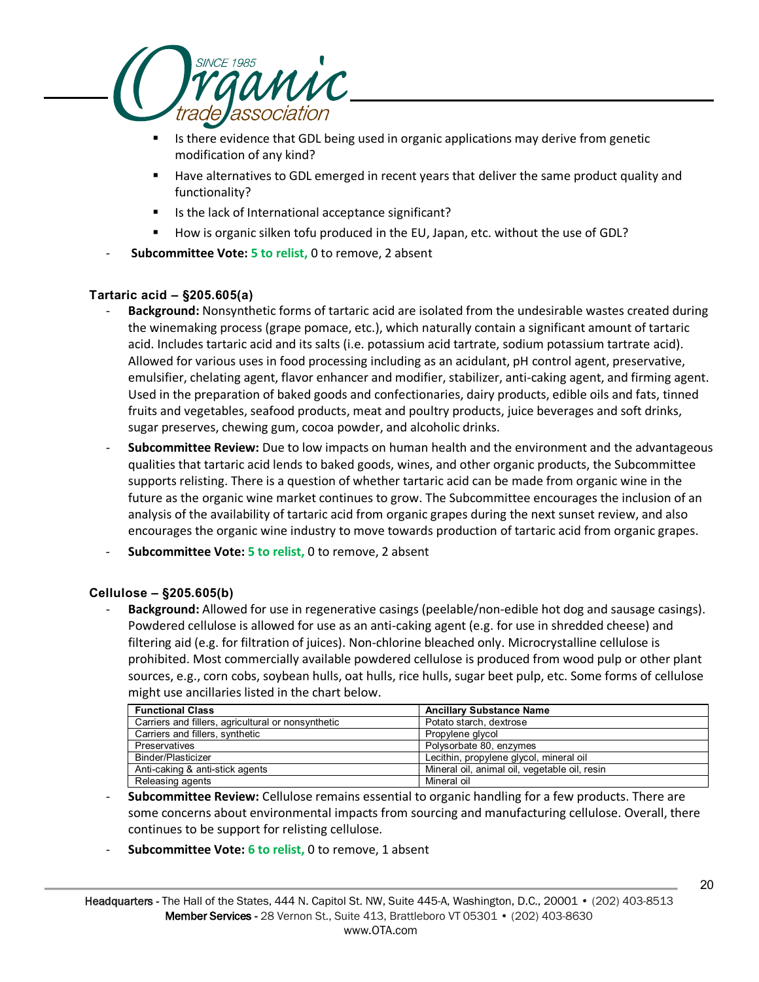

- Is there evidence that GDL being used in organic applications may derive from genetic modification of any kind?
- Have alternatives to GDL emerged in recent years that deliver the same product quality and functionality?
- Is the lack of International acceptance significant?
- How is organic silken tofu produced in the EU, Japan, etc. without the use of GDL?
- **Subcommittee Vote: 5 to relist,** 0 to remove, 2 absent

## **Tartaric acid – §205.605(a)**

- **Background:** Nonsynthetic forms of tartaric acid are isolated from the undesirable wastes created during the winemaking process (grape pomace, etc.), which naturally contain a significant amount of tartaric acid. Includes tartaric acid and its salts (i.e. potassium acid tartrate, sodium potassium tartrate acid). Allowed for various uses in food processing including as an acidulant, pH control agent, preservative, emulsifier, chelating agent, flavor enhancer and modifier, stabilizer, anti-caking agent, and firming agent. Used in the preparation of baked goods and confectionaries, dairy products, edible oils and fats, tinned fruits and vegetables, seafood products, meat and poultry products, juice beverages and soft drinks, sugar preserves, chewing gum, cocoa powder, and alcoholic drinks.
- **Subcommittee Review:** Due to low impacts on human health and the environment and the advantageous qualities that tartaric acid lends to baked goods, wines, and other organic products, the Subcommittee supports relisting. There is a question of whether tartaric acid can be made from organic wine in the future as the organic wine market continues to grow. The Subcommittee encourages the inclusion of an analysis of the availability of tartaric acid from organic grapes during the next sunset review, and also encourages the organic wine industry to move towards production of tartaric acid from organic grapes.
- **Subcommittee Vote: 5 to relist,** 0 to remove, 2 absent

### **Cellulose – §205.605(b)**

- **Background:** Allowed for use in regenerative casings (peelable/non-edible hot dog and sausage casings). Powdered cellulose is allowed for use as an anti-caking agent (e.g. for use in shredded cheese) and filtering aid (e.g. for filtration of juices). Non-chlorine bleached only. Microcrystalline cellulose is prohibited. Most commercially available powdered cellulose is produced from wood pulp or other plant sources, e.g., corn cobs, soybean hulls, oat hulls, rice hulls, sugar beet pulp, etc. Some forms of cellulose might use ancillaries listed in the chart below.

| <b>Functional Class</b>                            | <b>Ancillary Substance Name</b>               |
|----------------------------------------------------|-----------------------------------------------|
| Carriers and fillers, agricultural or nonsynthetic | Potato starch, dextrose                       |
| Carriers and fillers, synthetic                    | Propylene glycol                              |
| Preservatives                                      | Polysorbate 80, enzymes                       |
| Binder/Plasticizer                                 | Lecithin, propylene glycol, mineral oil       |
| Anti-caking & anti-stick agents                    | Mineral oil, animal oil, vegetable oil, resin |
| Releasing agents                                   | Mineral oil                                   |

- **Subcommittee Review:** Cellulose remains essential to organic handling for a few products. There are some concerns about environmental impacts from sourcing and manufacturing cellulose. Overall, there continues to be support for relisting cellulose.
- **Subcommittee Vote: 6 to relist,** 0 to remove, 1 absent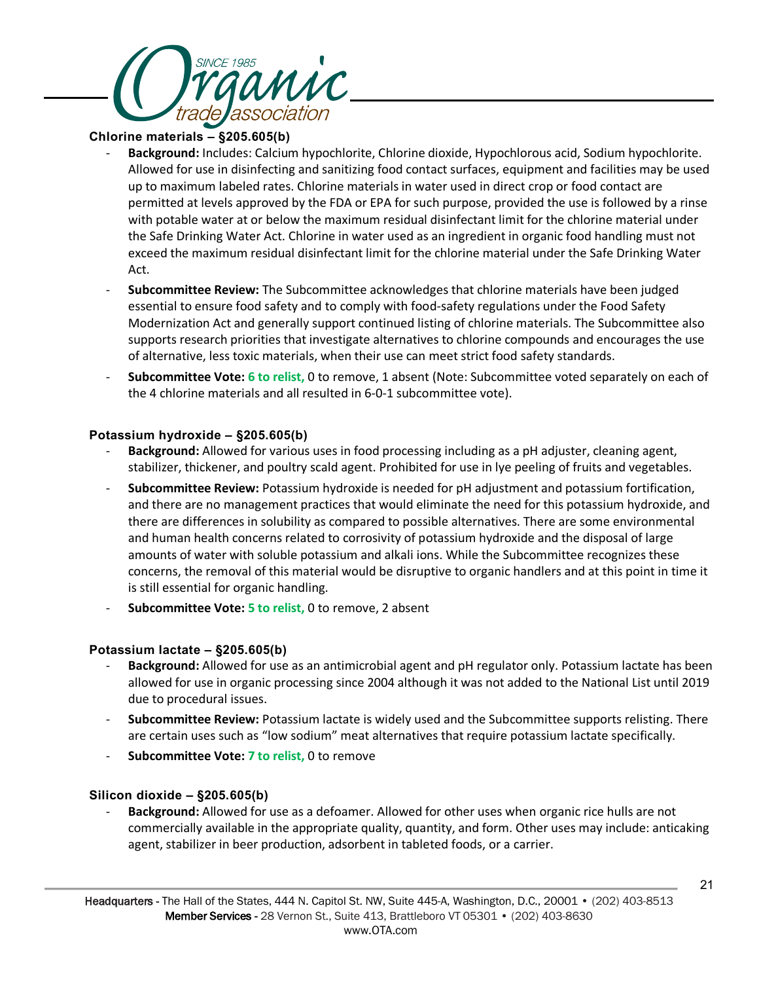

### **Chlorine materials – §205.605(b)**

- **Background:** Includes: Calcium hypochlorite, Chlorine dioxide, Hypochlorous acid, Sodium hypochlorite. Allowed for use in disinfecting and sanitizing food contact surfaces, equipment and facilities may be used up to maximum labeled rates. Chlorine materials in water used in direct crop or food contact are permitted at levels approved by the FDA or EPA for such purpose, provided the use is followed by a rinse with potable water at or below the maximum residual disinfectant limit for the chlorine material under the Safe Drinking Water Act. Chlorine in water used as an ingredient in organic food handling must not exceed the maximum residual disinfectant limit for the chlorine material under the Safe Drinking Water Act.
- **Subcommittee Review:** The Subcommittee acknowledges that chlorine materials have been judged essential to ensure food safety and to comply with food-safety regulations under the Food Safety Modernization Act and generally support continued listing of chlorine materials. The Subcommittee also supports research priorities that investigate alternatives to chlorine compounds and encourages the use of alternative, less toxic materials, when their use can meet strict food safety standards.
- **Subcommittee Vote: 6 to relist,** 0 to remove, 1 absent (Note: Subcommittee voted separately on each of the 4 chlorine materials and all resulted in 6-0-1 subcommittee vote).

### **Potassium hydroxide – §205.605(b)**

- **Background:** Allowed for various uses in food processing including as a pH adjuster, cleaning agent, stabilizer, thickener, and poultry scald agent. Prohibited for use in lye peeling of fruits and vegetables.
- **Subcommittee Review:** Potassium hydroxide is needed for pH adjustment and potassium fortification, and there are no management practices that would eliminate the need for this potassium hydroxide, and there are differences in solubility as compared to possible alternatives. There are some environmental and human health concerns related to corrosivity of potassium hydroxide and the disposal of large amounts of water with soluble potassium and alkali ions. While the Subcommittee recognizes these concerns, the removal of this material would be disruptive to organic handlers and at this point in time it is still essential for organic handling.
- **Subcommittee Vote: 5 to relist, 0 to remove, 2 absent**

### **Potassium lactate – §205.605(b)**

- **Background:** Allowed for use as an antimicrobial agent and pH regulator only. Potassium lactate has been allowed for use in organic processing since 2004 although it was not added to the National List until 2019 due to procedural issues.
- **Subcommittee Review:** Potassium lactate is widely used and the Subcommittee supports relisting. There are certain uses such as "low sodium" meat alternatives that require potassium lactate specifically.
- **Subcommittee Vote: 7 to relist,** 0 to remove

## **Silicon dioxide – §205.605(b)**

- **Background:** Allowed for use as a defoamer. Allowed for other uses when organic rice hulls are not commercially available in the appropriate quality, quantity, and form. Other uses may include: anticaking agent, stabilizer in beer production, adsorbent in tableted foods, or a carrier.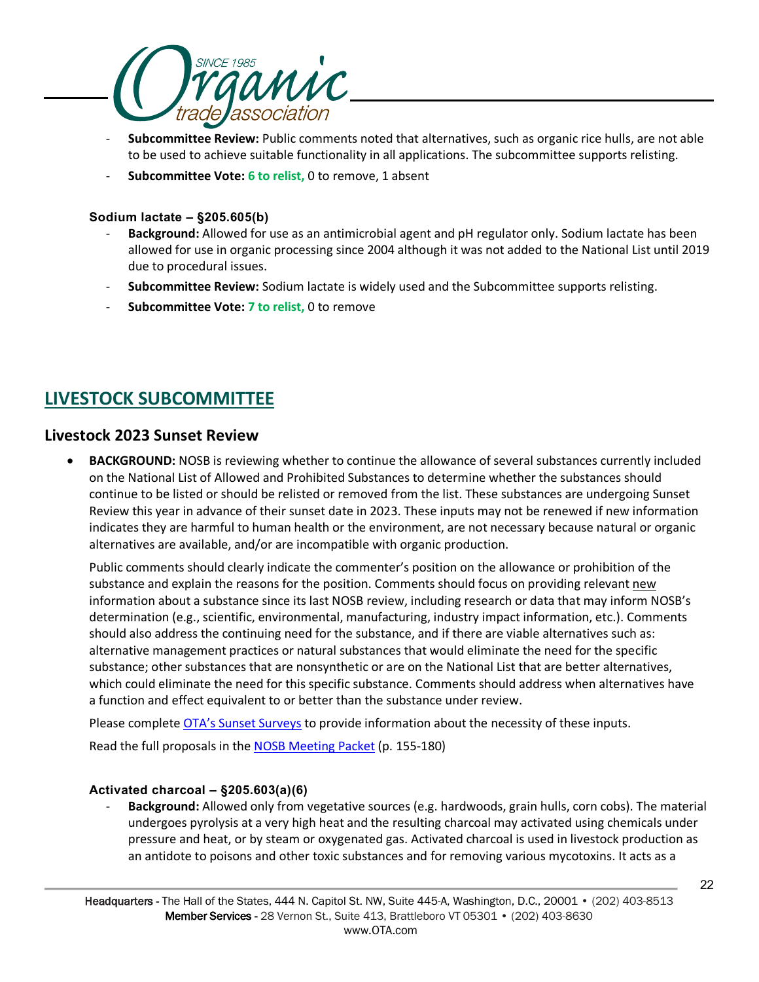

- **Subcommittee Review:** Public comments noted that alternatives, such as organic rice hulls, are not able to be used to achieve suitable functionality in all applications. The subcommittee supports relisting.
- **Subcommittee Vote: 6 to relist,** 0 to remove, 1 absent

### **Sodium lactate – §205.605(b)**

- **Background:** Allowed for use as an antimicrobial agent and pH regulator only. Sodium lactate has been allowed for use in organic processing since 2004 although it was not added to the National List until 2019 due to procedural issues.
- **Subcommittee Review:** Sodium lactate is widely used and the Subcommittee supports relisting.
- **Subcommittee Vote: 7 to relist,** 0 to remove

# **LIVESTOCK SUBCOMMITTEE**

## **Livestock 2023 Sunset Review**

• **BACKGROUND:** NOSB is reviewing whether to continue the allowance of several substances currently included on the National List of Allowed and Prohibited Substances to determine whether the substances should continue to be listed or should be relisted or removed from the list. These substances are undergoing Sunset Review this year in advance of their sunset date in 2023. These inputs may not be renewed if new information indicates they are harmful to human health or the environment, are not necessary because natural or organic alternatives are available, and/or are incompatible with organic production.

Public comments should clearly indicate the commenter's position on the allowance or prohibition of the substance and explain the reasons for the position. Comments should focus on providing relevant new information about a substance since its last NOSB review, including research or data that may inform NOSB's determination (e.g., scientific, environmental, manufacturing, industry impact information, etc.). Comments should also address the continuing need for the substance, and if there are viable alternatives such as: alternative management practices or natural substances that would eliminate the need for the specific substance; other substances that are nonsynthetic or are on the National List that are better alternatives, which could eliminate the need for this specific substance. Comments should address when alternatives have a function and effect equivalent to or better than the substance under review.

Please complete [OTA's Sunset Surveys](https://ota.com/advocacy/organic-standards/national-organic-standards-board/nosb-spring-2021-meeting) to provide information about the necessity of these inputs.

Read the full proposals in the **NOSB Meeting Packet** (p. 155-180)

## **Activated charcoal – §205.603(a)(6)**

- **Background:** Allowed only from vegetative sources (e.g. hardwoods, grain hulls, corn cobs). The material undergoes pyrolysis at a very high heat and the resulting charcoal may activated using chemicals under pressure and heat, or by steam or oxygenated gas. Activated charcoal is used in livestock production as an antidote to poisons and other toxic substances and for removing various mycotoxins. It acts as a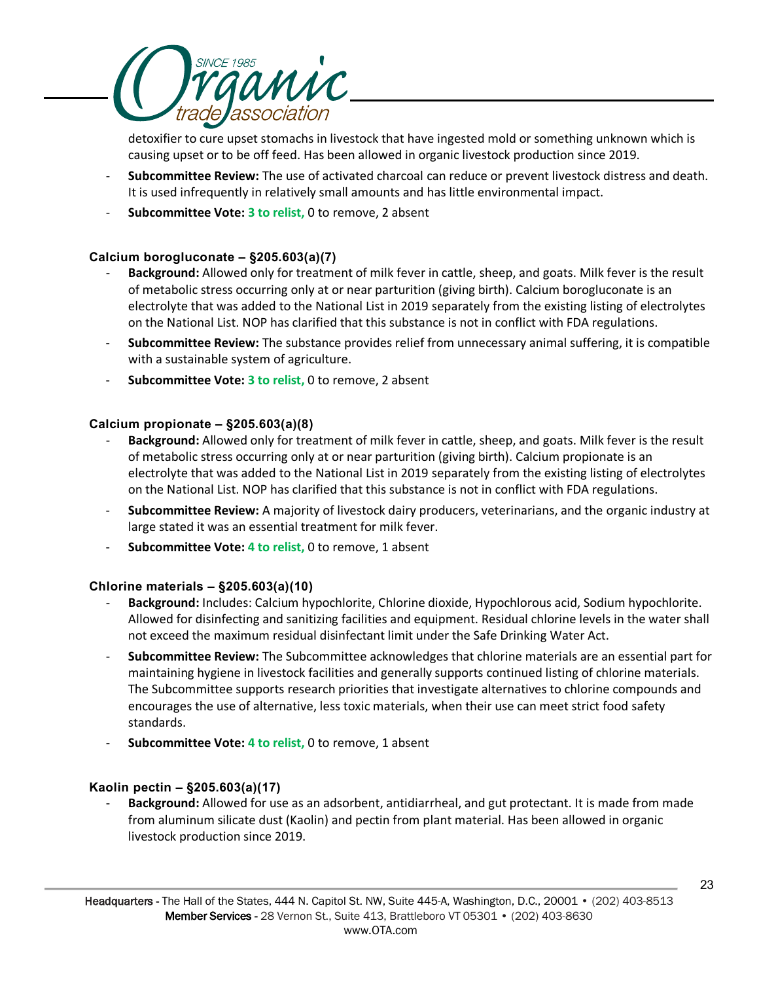

detoxifier to cure upset stomachs in livestock that have ingested mold or something unknown which is causing upset or to be off feed. Has been allowed in organic livestock production since 2019.

- **Subcommittee Review:** The use of activated charcoal can reduce or prevent livestock distress and death. It is used infrequently in relatively small amounts and has little environmental impact.
- **Subcommittee Vote: 3 to relist,** 0 to remove, 2 absent

## **Calcium borogluconate – §205.603(a)(7)**

- **Background:** Allowed only for treatment of milk fever in cattle, sheep, and goats. Milk fever is the result of metabolic stress occurring only at or near parturition (giving birth). Calcium borogluconate is an electrolyte that was added to the National List in 2019 separately from the existing listing of electrolytes on the National List. NOP has clarified that this substance is not in conflict with FDA regulations.
- **Subcommittee Review:** The substance provides relief from unnecessary animal suffering, it is compatible with a sustainable system of agriculture.
- **Subcommittee Vote: 3 to relist,** 0 to remove, 2 absent

## **Calcium propionate – §205.603(a)(8)**

- **Background:** Allowed only for treatment of milk fever in cattle, sheep, and goats. Milk fever is the result of metabolic stress occurring only at or near parturition (giving birth). Calcium propionate is an electrolyte that was added to the National List in 2019 separately from the existing listing of electrolytes on the National List. NOP has clarified that this substance is not in conflict with FDA regulations.
- **Subcommittee Review:** A majority of livestock dairy producers, veterinarians, and the organic industry at large stated it was an essential treatment for milk fever.
- **Subcommittee Vote: 4 to relist,** 0 to remove, 1 absent

### **Chlorine materials – §205.603(a)(10)**

- Background: Includes: Calcium hypochlorite, Chlorine dioxide, Hypochlorous acid, Sodium hypochlorite. Allowed for disinfecting and sanitizing facilities and equipment. Residual chlorine levels in the water shall not exceed the maximum residual disinfectant limit under the Safe Drinking Water Act.
- **Subcommittee Review:** The Subcommittee acknowledges that chlorine materials are an essential part for maintaining hygiene in livestock facilities and generally supports continued listing of chlorine materials. The Subcommittee supports research priorities that investigate alternatives to chlorine compounds and encourages the use of alternative, less toxic materials, when their use can meet strict food safety standards.
- **Subcommittee Vote: 4 to relist,** 0 to remove, 1 absent

### **Kaolin pectin – §205.603(a)(17)**

- **Background:** Allowed for use as an adsorbent, antidiarrheal, and gut protectant. It is made from made from aluminum silicate dust (Kaolin) and pectin from plant material. Has been allowed in organic livestock production since 2019.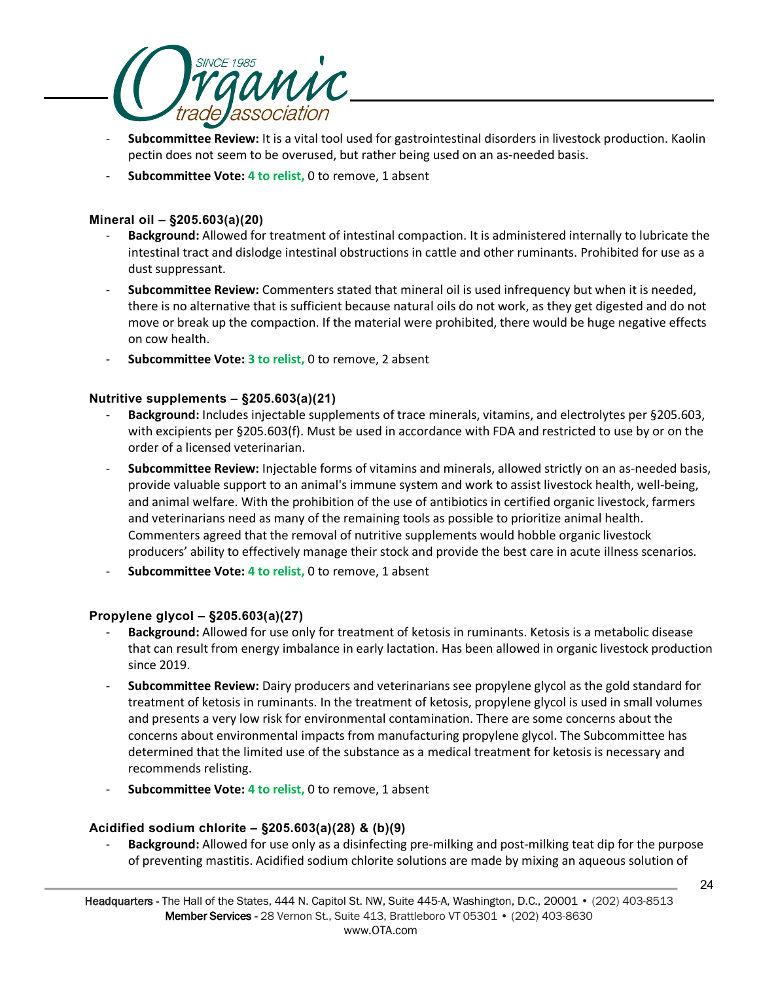

- **Subcommittee Review:** It is a vital tool used for gastrointestinal disorders in livestock production. Kaolin pectin does not seem to be overused, but rather being used on an as-needed basis.
- Subcommittee Vote: 4 to relist, 0 to remove, 1 absent

## **Mineral oil – §205.603(a)(20)**

- **Background:** Allowed for treatment of intestinal compaction. It is administered internally to lubricate the intestinal tract and dislodge intestinal obstructions in cattle and other ruminants. Prohibited for use as a dust suppressant.
- **Subcommittee Review:** Commenters stated that mineral oil is used infrequency but when it is needed, there is no alternative that is sufficient because natural oils do not work, as they get digested and do not move or break up the compaction. If the material were prohibited, there would be huge negative effects on cow health.
- **Subcommittee Vote: 3 to relist, 0 to remove, 2 absent**

## **Nutritive supplements – §205.603(a)(21)**

- Background: Includes injectable supplements of trace minerals, vitamins, and electrolytes per §205.603, with excipients per §205.603(f). Must be used in accordance with FDA and restricted to use by or on the order of a licensed veterinarian.
- **Subcommittee Review:** Injectable forms of vitamins and minerals, allowed strictly on an as-needed basis, provide valuable support to an animal's immune system and work to assist livestock health, well-being, and animal welfare. With the prohibition of the use of antibiotics in certified organic livestock, farmers and veterinarians need as many of the remaining tools as possible to prioritize animal health. Commenters agreed that the removal of nutritive supplements would hobble organic livestock producers' ability to effectively manage their stock and provide the best care in acute illness scenarios.
- **Subcommittee Vote: 4 to relist,** 0 to remove, 1 absent

### **Propylene glycol – §205.603(a)(27)**

- Background: Allowed for use only for treatment of ketosis in ruminants. Ketosis is a metabolic disease that can result from energy imbalance in early lactation. Has been allowed in organic livestock production since 2019.
- **Subcommittee Review:** Dairy producers and veterinarians see propylene glycol as the gold standard for treatment of ketosis in ruminants. In the treatment of ketosis, propylene glycol is used in small volumes and presents a very low risk for environmental contamination. There are some concerns about the concerns about environmental impacts from manufacturing propylene glycol. The Subcommittee has determined that the limited use of the substance as a medical treatment for ketosis is necessary and recommends relisting.
- Subcommittee Vote: 4 to relist, 0 to remove, 1 absent

## **Acidified sodium chlorite – §205.603(a)(28) & (b)(9)**

- **Background:** Allowed for use only as a disinfecting pre-milking and post-milking teat dip for the purpose of preventing mastitis. Acidified sodium chlorite solutions are made by mixing an aqueous solution of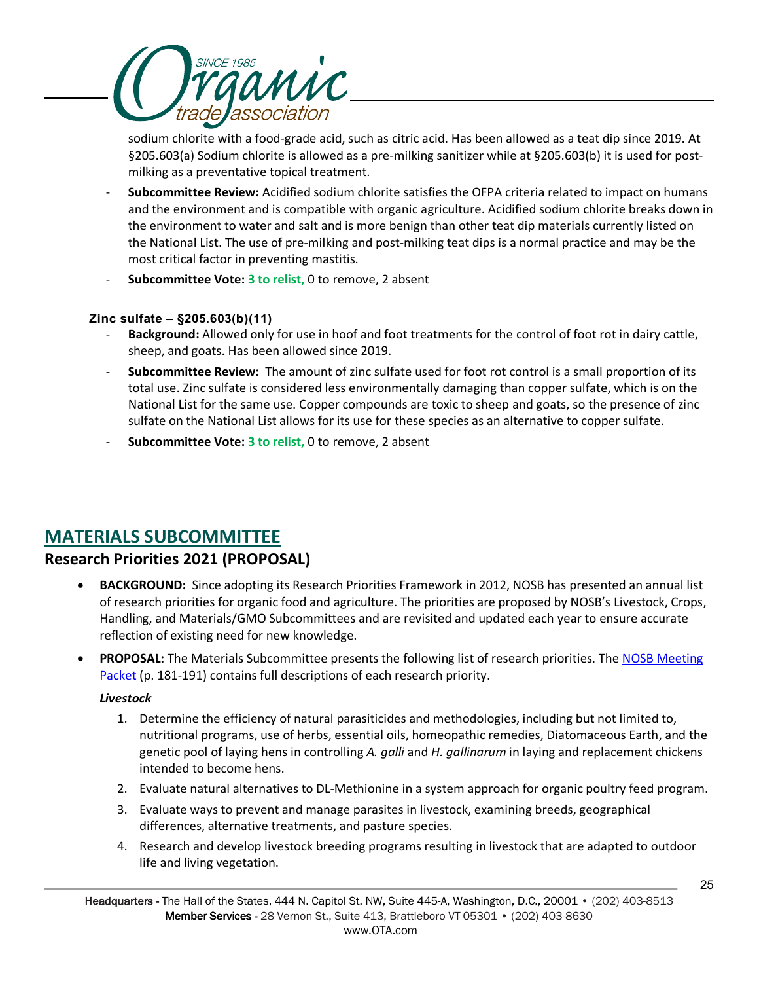

sodium chlorite with a food-grade acid, such as citric acid. Has been allowed as a teat dip since 2019. At §205.603(a) Sodium chlorite is allowed as a pre-milking sanitizer while at §205.603(b) it is used for postmilking as a preventative topical treatment.

- **Subcommittee Review:** Acidified sodium chlorite satisfies the OFPA criteria related to impact on humans and the environment and is compatible with organic agriculture. Acidified sodium chlorite breaks down in the environment to water and salt and is more benign than other teat dip materials currently listed on the National List. The use of pre-milking and post-milking teat dips is a normal practice and may be the most critical factor in preventing mastitis.
- **Subcommittee Vote: 3 to relist,** 0 to remove, 2 absent

## **Zinc sulfate – §205.603(b)(11)**

- **Background:** Allowed only for use in hoof and foot treatments for the control of foot rot in dairy cattle, sheep, and goats. Has been allowed since 2019.
- **Subcommittee Review:** The amount of zinc sulfate used for foot rot control is a small proportion of its total use. Zinc sulfate is considered less environmentally damaging than copper sulfate, which is on the National List for the same use. Copper compounds are toxic to sheep and goats, so the presence of zinc sulfate on the National List allows for its use for these species as an alternative to copper sulfate.
- **Subcommittee Vote: 3 to relist,** 0 to remove, 2 absent

## **MATERIALS SUBCOMMITTEE**

## **Research Priorities 2021 (PROPOSAL)**

- **BACKGROUND:** Since adopting its Research Priorities Framework in 2012, NOSB has presented an annual list of research priorities for organic food and agriculture. The priorities are proposed by NOSB's Livestock, Crops, Handling, and Materials/GMO Subcommittees and are revisited and updated each year to ensure accurate reflection of existing need for new knowledge.
- **PROPOSAL:** The Materials Subcommittee presents the following list of research priorities. The [NOSB Meeting](https://www.ams.usda.gov/sites/default/files/media/NOSBProposals%26DDsOctober2021acc.pdf)  [Packet](https://www.ams.usda.gov/sites/default/files/media/NOSBProposals%26DDsOctober2021acc.pdf) (p. 181-191) contains full descriptions of each research priority.

### *Livestock*

- 1. Determine the efficiency of natural parasiticides and methodologies, including but not limited to, nutritional programs, use of herbs, essential oils, homeopathic remedies, Diatomaceous Earth, and the genetic pool of laying hens in controlling *A. galli* and *H. gallinarum* in laying and replacement chickens intended to become hens.
- 2. Evaluate natural alternatives to DL-Methionine in a system approach for organic poultry feed program.
- 3. Evaluate ways to prevent and manage parasites in livestock, examining breeds, geographical differences, alternative treatments, and pasture species.
- 4. Research and develop livestock breeding programs resulting in livestock that are adapted to outdoor life and living vegetation.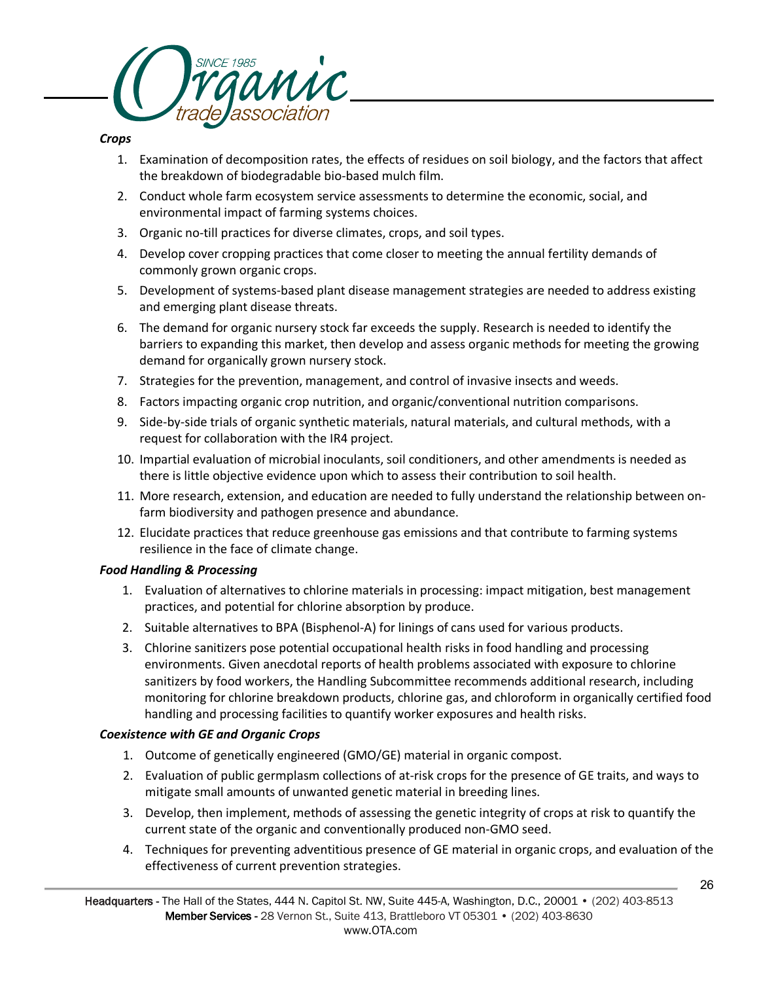

## *Crops*

- 1. Examination of decomposition rates, the effects of residues on soil biology, and the factors that affect the breakdown of biodegradable bio-based mulch film.
- 2. Conduct whole farm ecosystem service assessments to determine the economic, social, and environmental impact of farming systems choices.
- 3. Organic no-till practices for diverse climates, crops, and soil types.
- 4. Develop cover cropping practices that come closer to meeting the annual fertility demands of commonly grown organic crops.
- 5. Development of systems-based plant disease management strategies are needed to address existing and emerging plant disease threats.
- 6. The demand for organic nursery stock far exceeds the supply. Research is needed to identify the barriers to expanding this market, then develop and assess organic methods for meeting the growing demand for organically grown nursery stock.
- 7. Strategies for the prevention, management, and control of invasive insects and weeds.
- 8. Factors impacting organic crop nutrition, and organic/conventional nutrition comparisons.
- 9. Side-by-side trials of organic synthetic materials, natural materials, and cultural methods, with a request for collaboration with the IR4 project.
- 10. Impartial evaluation of microbial inoculants, soil conditioners, and other amendments is needed as there is little objective evidence upon which to assess their contribution to soil health.
- 11. More research, extension, and education are needed to fully understand the relationship between onfarm biodiversity and pathogen presence and abundance.
- 12. Elucidate practices that reduce greenhouse gas emissions and that contribute to farming systems resilience in the face of climate change.

### *Food Handling & Processing*

- 1. Evaluation of alternatives to chlorine materials in processing: impact mitigation, best management practices, and potential for chlorine absorption by produce.
- 2. Suitable alternatives to BPA (Bisphenol-A) for linings of cans used for various products.
- 3. Chlorine sanitizers pose potential occupational health risks in food handling and processing environments. Given anecdotal reports of health problems associated with exposure to chlorine sanitizers by food workers, the Handling Subcommittee recommends additional research, including monitoring for chlorine breakdown products, chlorine gas, and chloroform in organically certified food handling and processing facilities to quantify worker exposures and health risks.

### *Coexistence with GE and Organic Crops*

- 1. Outcome of genetically engineered (GMO/GE) material in organic compost.
- 2. Evaluation of public germplasm collections of at-risk crops for the presence of GE traits, and ways to mitigate small amounts of unwanted genetic material in breeding lines.
- 3. Develop, then implement, methods of assessing the genetic integrity of crops at risk to quantify the current state of the organic and conventionally produced non-GMO seed.
- 4. Techniques for preventing adventitious presence of GE material in organic crops, and evaluation of the effectiveness of current prevention strategies.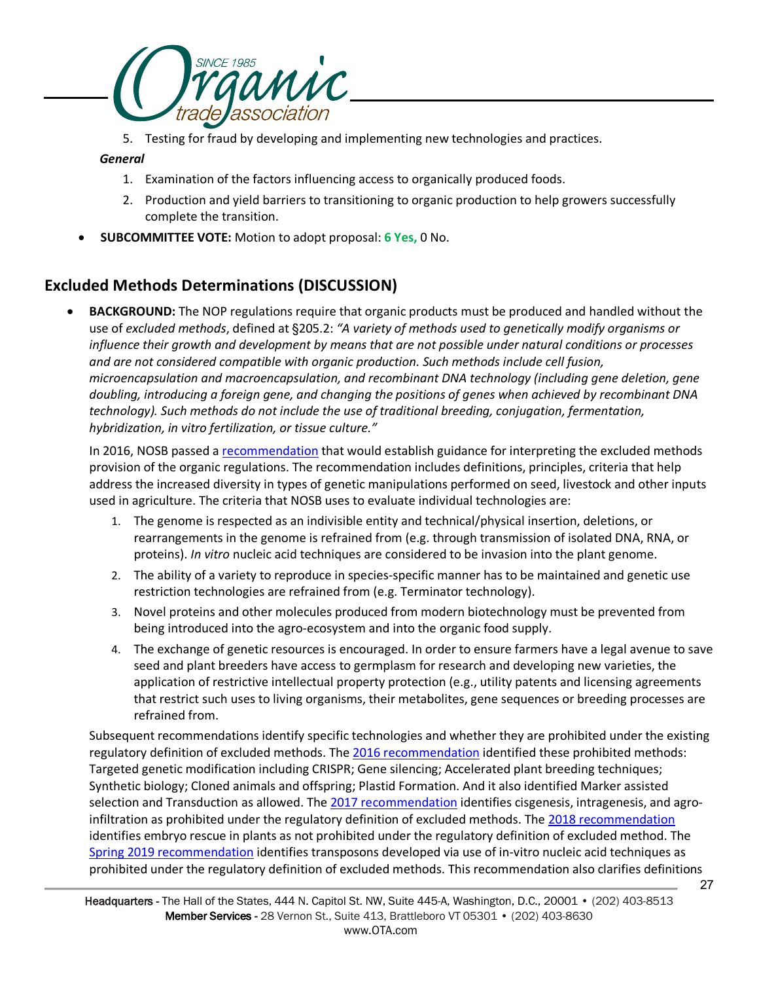

5. Testing for fraud by developing and implementing new technologies and practices.

### *General*

- 1. Examination of the factors influencing access to organically produced foods.
- 2. Production and yield barriers to transitioning to organic production to help growers successfully complete the transition.
- **SUBCOMMITTEE VOTE:** Motion to adopt proposal: **6 Yes,** 0 No.

## **Excluded Methods Determinations (DISCUSSION)**

• **BACKGROUND:** The NOP regulations require that organic products must be produced and handled without the use of *excluded methods*, defined at §205.2: *"A variety of methods used to genetically modify organisms or influence their growth and development by means that are not possible under natural conditions or processes and are not considered compatible with organic production. Such methods include cell fusion, microencapsulation and macroencapsulation, and recombinant DNA technology (including gene deletion, gene doubling, introducing a foreign gene, and changing the positions of genes when achieved by recombinant DNA technology). Such methods do not include the use of traditional breeding, conjugation, fermentation, hybridization, in vitro fertilization, or tissue culture."*

In 2016, NOSB passed a [recommendation](https://www.ams.usda.gov/sites/default/files/media/MSExcludedMethods.pdf) that would establish guidance for interpreting the excluded methods provision of the organic regulations. The recommendation includes definitions, principles, criteria that help address the increased diversity in types of genetic manipulations performed on seed, livestock and other inputs used in agriculture. The criteria that NOSB uses to evaluate individual technologies are:

- 1. The genome is respected as an indivisible entity and technical/physical insertion, deletions, or rearrangements in the genome is refrained from (e.g. through transmission of isolated DNA, RNA, or proteins). *In vitro* nucleic acid techniques are considered to be invasion into the plant genome.
- 2. The ability of a variety to reproduce in species-specific manner has to be maintained and genetic use restriction technologies are refrained from (e.g. Terminator technology).
- 3. Novel proteins and other molecules produced from modern biotechnology must be prevented from being introduced into the agro-ecosystem and into the organic food supply.
- 4. The exchange of genetic resources is encouraged. In order to ensure farmers have a legal avenue to save seed and plant breeders have access to germplasm for research and developing new varieties, the application of restrictive intellectual property protection (e.g., utility patents and licensing agreements that restrict such uses to living organisms, their metabolites, gene sequences or breeding processes are refrained from.

Subsequent recommendations identify specific technologies and whether they are prohibited under the existing regulatory definition of excluded methods. The [2016 recommendation](https://www.ams.usda.gov/sites/default/files/media/MSExcludedMethods.pdf) identified these prohibited methods: Targeted genetic modification including CRISPR; Gene silencing; Accelerated plant breeding techniques; Synthetic biology; Cloned animals and offspring; Plastid Formation. And it also identified Marker assisted selection and Transduction as allowed. The 2017 recommendation identifies cisgenesis, intragenesis, and agroinfiltration as prohibited under the regulatory definition of excluded methods. The [2018 recommendation](https://www.ams.usda.gov/sites/default/files/media/MSExcludedMethodsRecOct2018.pdf) identifies embryo rescue in plants as not prohibited under the regulatory definition of excluded method. The [Spring 2019 recommendation](https://www.ams.usda.gov/sites/default/files/media/MSExcludedMethodsApr2019FinalRec.pdf) identifies transposons developed via use of in-vitro nucleic acid techniques as prohibited under the regulatory definition of excluded methods. This recommendation also clarifies definitions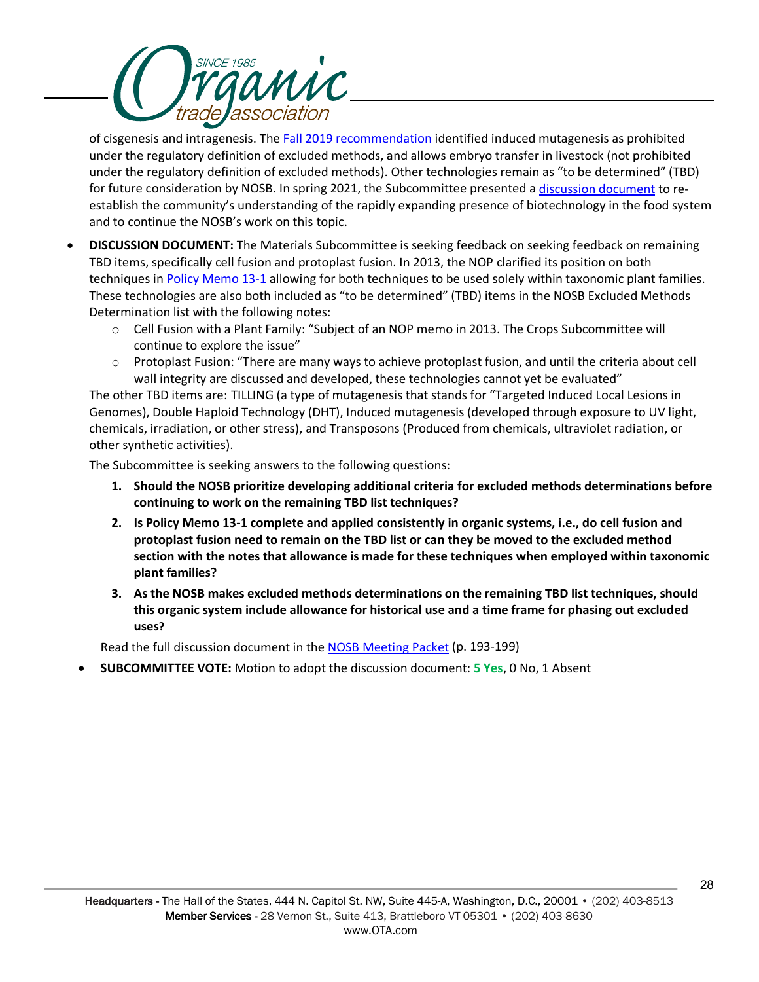

of cisgenesis and intragenesis. Th[e Fall 2019 recommendation](https://www.ams.usda.gov/sites/default/files/media/MSExcludedMethodsInducedMutagenesis.pdf) identified induced mutagenesis as prohibited under the regulatory definition of excluded methods, and allows embryo transfer in livestock (not prohibited under the regulatory definition of excluded methods). Other technologies remain as "to be determined" (TBD) for future consideration by NOSB. In spring 2021, the Subcommittee presented a [discussion document](https://www.ams.usda.gov/sites/default/files/media/MSExcludedMethodsDeterminations.pdf) to reestablish the community's understanding of the rapidly expanding presence of biotechnology in the food system and to continue the NOSB's work on this topic.

- **DISCUSSION DOCUMENT:** The Materials Subcommittee is seeking feedback on seeking feedback on remaining TBD items, specifically cell fusion and protoplast fusion. In 2013, the NOP clarified its position on both techniques i[n Policy Memo 13-1](https://www.ams.usda.gov/sites/default/files/media/NOP-PM-13-1-CellFusion.pdf) allowing for both techniques to be used solely within taxonomic plant families. These technologies are also both included as "to be determined" (TBD) items in the NOSB Excluded Methods Determination list with the following notes:
	- o Cell Fusion with a Plant Family: "Subject of an NOP memo in 2013. The Crops Subcommittee will continue to explore the issue"
	- o Protoplast Fusion: "There are many ways to achieve protoplast fusion, and until the criteria about cell wall integrity are discussed and developed, these technologies cannot yet be evaluated"

The other TBD items are: TILLING (a type of mutagenesis that stands for "Targeted Induced Local Lesions in Genomes), Double Haploid Technology (DHT), Induced mutagenesis (developed through exposure to UV light, chemicals, irradiation, or other stress), and Transposons (Produced from chemicals, ultraviolet radiation, or other synthetic activities).

The Subcommittee is seeking answers to the following questions:

- **1. Should the NOSB prioritize developing additional criteria for excluded methods determinations before continuing to work on the remaining TBD list techniques?**
- **2. Is Policy Memo 13-1 complete and applied consistently in organic systems, i.e., do cell fusion and protoplast fusion need to remain on the TBD list or can they be moved to the excluded method section with the notes that allowance is made for these techniques when employed within taxonomic plant families?**
- **3. As the NOSB makes excluded methods determinations on the remaining TBD list techniques, should this organic system include allowance for historical use and a time frame for phasing out excluded uses?**

Read the full discussion document in th[e NOSB Meeting Packet](https://www.ams.usda.gov/sites/default/files/media/NOSBProposals%26DDsOctober2021acc.pdf) (p. 193-199)

• **SUBCOMMITTEE VOTE:** Motion to adopt the discussion document: **5 Yes**, 0 No, 1 Absent